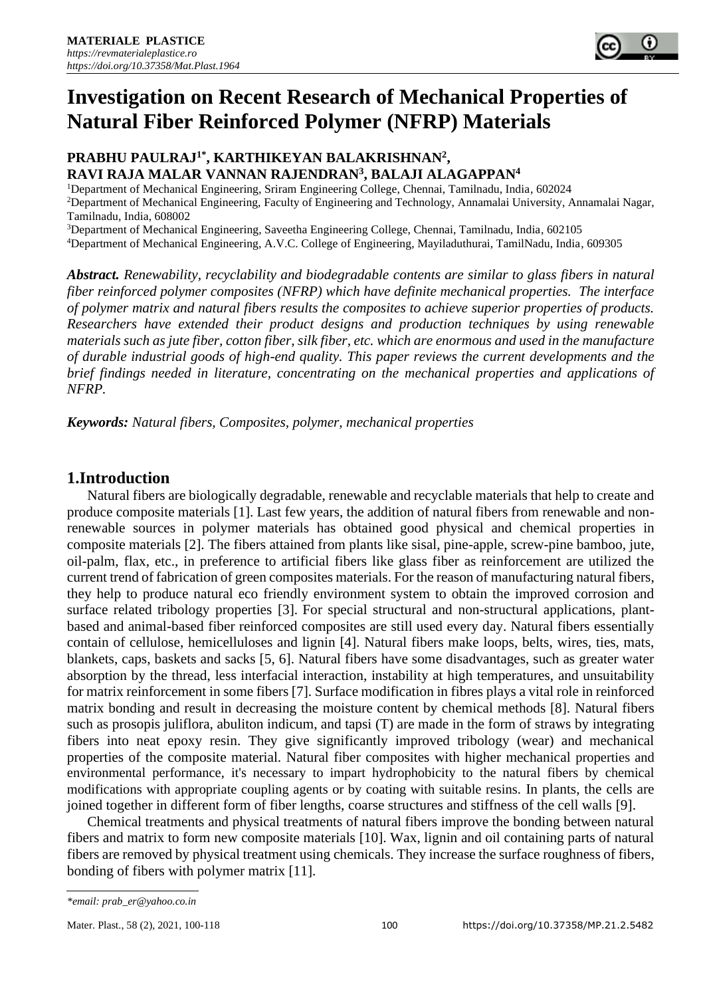

## **PRABHU PAULRAJ1\*, KARTHIKEYAN BALAKRISHNAN<sup>2</sup> , RAVI RAJA MALAR VANNAN RAJENDRAN<sup>3</sup> , BALAJI ALAGAPPAN<sup>4</sup>**

<sup>1</sup>Department of Mechanical Engineering, Sriram Engineering College, Chennai, Tamilnadu, India, 602024 <sup>2</sup>Department of Mechanical Engineering, Faculty of Engineering and Technology, Annamalai University, Annamalai Nagar, Tamilnadu, India, 608002

<sup>3</sup>Department of Mechanical Engineering, Saveetha Engineering College, Chennai, Tamilnadu, India, 602105

<sup>4</sup>Department of Mechanical Engineering, A.V.C. College of Engineering, Mayiladuthurai, TamilNadu, India, 609305

*Abstract. Renewability, recyclability and biodegradable contents are similar to glass fibers in natural fiber reinforced polymer composites (NFRP) which have definite mechanical properties. The interface of polymer matrix and natural fibers results the composites to achieve superior properties of products. Researchers have extended their product designs and production techniques by using renewable materials such as jute fiber, cotton fiber, silk fiber, etc. which are enormous and used in the manufacture of durable industrial goods of high-end quality. This paper reviews the current developments and the brief findings needed in literature, concentrating on the mechanical properties and applications of NFRP.*

*Keywords: Natural fibers, Composites, polymer, mechanical properties*

## **1.Introduction**

Natural fibers are biologically degradable, renewable and recyclable materials that help to create and produce composite materials [1]. Last few years, the addition of natural fibers from renewable and nonrenewable sources in polymer materials has obtained good physical and chemical properties in composite materials [2]. The fibers attained from plants like sisal, pine-apple, screw-pine bamboo, jute, oil-palm, flax, etc., in preference to artificial fibers like glass fiber as reinforcement are utilized the current trend of fabrication of green composites materials. For the reason of manufacturing natural fibers, they help to produce natural eco friendly environment system to obtain the improved corrosion and surface related tribology properties [3]. For special structural and non-structural applications, plantbased and animal-based fiber reinforced composites are still used every day. Natural fibers essentially contain of cellulose, hemicelluloses and lignin [4]. Natural fibers make loops, belts, wires, ties, mats, blankets, caps, baskets and sacks [5, 6]. Natural fibers have some disadvantages, such as greater water absorption by the thread, less interfacial interaction, instability at high temperatures, and unsuitability for matrix reinforcement in some fibers [7]. Surface modification in fibres plays a vital role in reinforced matrix bonding and result in decreasing the moisture content by chemical methods [8]. Natural fibers such as prosopis juliflora, abuliton indicum, and tapsi (T) are made in the form of straws by integrating fibers into neat epoxy resin. They give significantly improved tribology (wear) and mechanical properties of the composite material. Natural fiber composites with higher mechanical properties and environmental performance, it's necessary to impart hydrophobicity to the natural fibers by chemical modifications with appropriate coupling agents or by coating with suitable resins. In plants, the cells are joined together in different form of fiber lengths, coarse structures and stiffness of the cell walls [9].

Chemical treatments and physical treatments of natural fibers improve the bonding between natural fibers and matrix to form new composite materials [10]. Wax, lignin and oil containing parts of natural fibers are removed by physical treatment using chemicals. They increase the surface roughness of fibers, bonding of fibers with polymer matrix [11].

*<sup>\*</sup>email[: prab\\_er@yahoo.co.in](mailto:prab_er@yahoo.co.in)*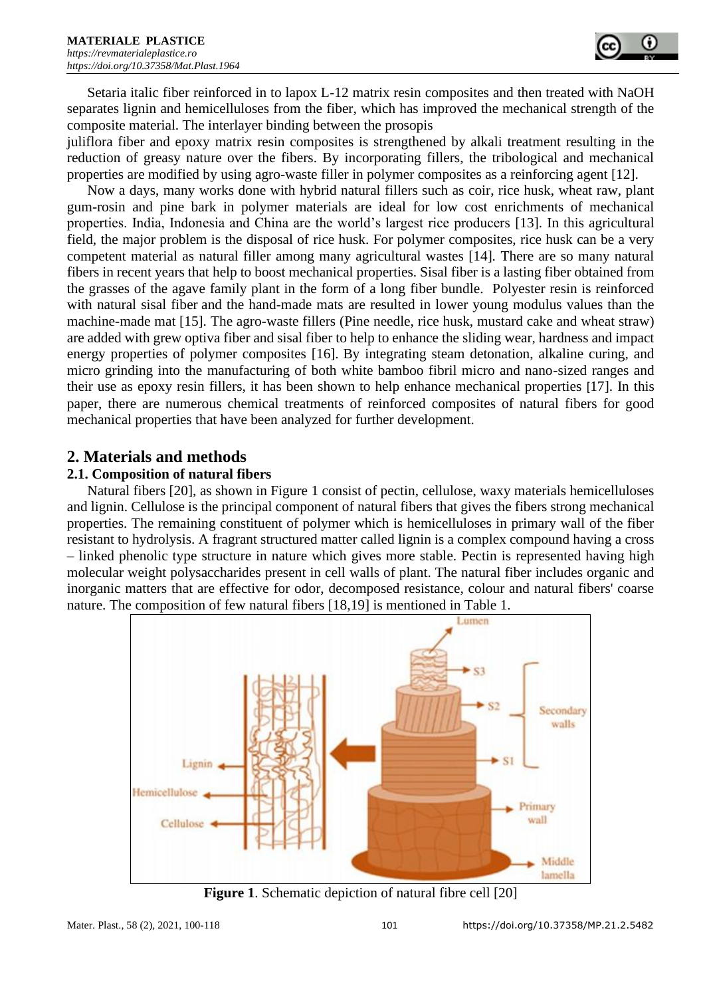

Setaria italic fiber reinforced in to lapox L-12 matrix resin composites and then treated with NaOH separates lignin and hemicelluloses from the fiber, which has improved the mechanical strength of the composite material. The interlayer binding between the prosopis

juliflora fiber and epoxy matrix resin composites is strengthened by alkali treatment resulting in the reduction of greasy nature over the fibers. By incorporating fillers, the tribological and mechanical properties are modified by using agro-waste filler in polymer composites as a reinforcing agent [12].

Now a days, many works done with hybrid natural fillers such as coir, rice husk, wheat raw, plant gum-rosin and pine bark in polymer materials are ideal for low cost enrichments of mechanical properties. India, Indonesia and China are the world's largest rice producers [13]. In this agricultural field, the major problem is the disposal of rice husk. For polymer composites, rice husk can be a very competent material as natural filler among many agricultural wastes [14]. There are so many natural fibers in recent years that help to boost mechanical properties. Sisal fiber is a lasting fiber obtained from the grasses of the agave family plant in the form of a long fiber bundle. Polyester resin is reinforced with natural sisal fiber and the hand-made mats are resulted in lower young modulus values than the machine-made mat [15]. The agro-waste fillers (Pine needle, rice husk, mustard cake and wheat straw) are added with grew optiva fiber and sisal fiber to help to enhance the sliding wear, hardness and impact energy properties of polymer composites [16]. By integrating steam detonation, alkaline curing, and micro grinding into the manufacturing of both white bamboo fibril micro and nano-sized ranges and their use as epoxy resin fillers, it has been shown to help enhance mechanical properties [17]. In this paper, there are numerous chemical treatments of reinforced composites of natural fibers for good mechanical properties that have been analyzed for further development.

# **2. Materials and methods**

# **2.1. Composition of natural fibers**

Natural fibers [20], as shown in Figure 1 consist of pectin, cellulose, waxy materials hemicelluloses and lignin. Cellulose is the principal component of natural fibers that gives the fibers strong mechanical properties. The remaining constituent of polymer which is hemicelluloses in primary wall of the fiber resistant to hydrolysis. A fragrant structured matter called lignin is a complex compound having a cross – linked phenolic type structure in nature which gives more stable. Pectin is represented having high molecular weight polysaccharides present in cell walls of plant. The natural fiber includes organic and inorganic matters that are effective for odor, decomposed resistance, colour and natural fibers' coarse nature. The composition of few natural fibers [18,19] is mentioned in Table 1.



**Figure 1**. Schematic depiction of natural fibre cell [20]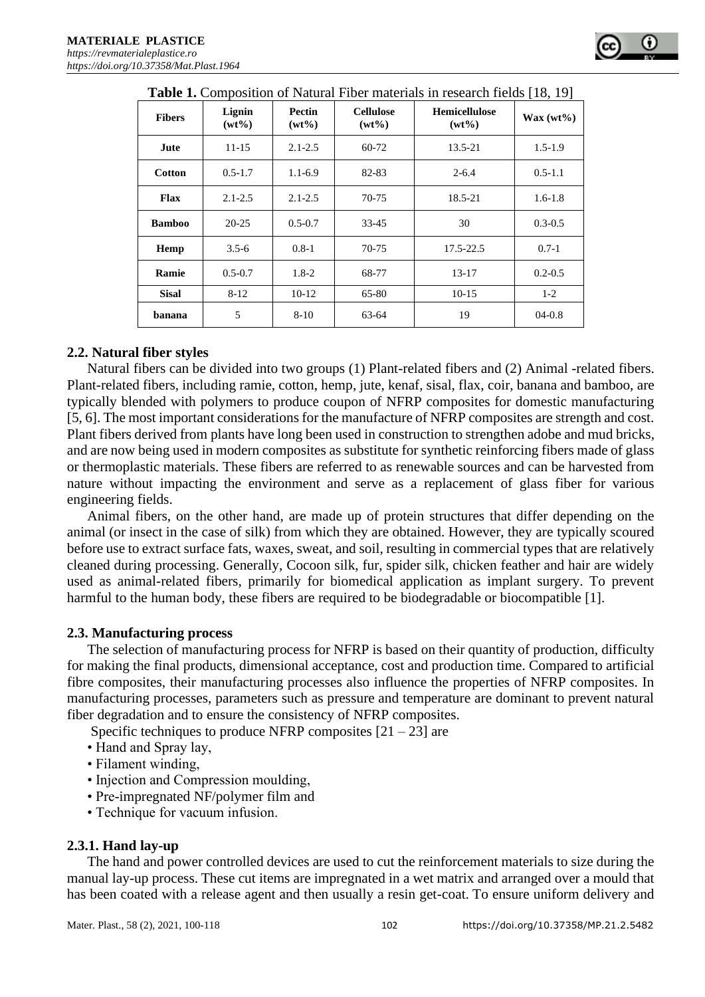|               |                    |                    |                              | <b>Thore I.</b> Composition of Future Floor muterals in research here $\vert 10, 12 \vert$ |                     |
|---------------|--------------------|--------------------|------------------------------|--------------------------------------------------------------------------------------------|---------------------|
| <b>Fibers</b> | Lignin<br>$(wt\%)$ | Pectin<br>$(wt\%)$ | <b>Cellulose</b><br>$(wt\%)$ | <b>Hemicellulose</b><br>$(wt\%)$                                                           | $\text{Wax (wt\%)}$ |
| Jute          | $11 - 15$          | $2.1 - 2.5$        | $60 - 72$                    | 13.5-21                                                                                    | $1.5 - 1.9$         |
| <b>Cotton</b> | $0.5 - 1.7$        | $1.1 - 6.9$        | 82-83                        | $2 - 6.4$                                                                                  | $0.5 - 1.1$         |
| <b>Flax</b>   | $2.1 - 2.5$        | $2.1 - 2.5$        | $70-75$                      | 18.5-21                                                                                    | $1.6 - 1.8$         |
| <b>Bamboo</b> | $20 - 25$          | $0.5 - 0.7$        | $33 - 45$                    | 30                                                                                         | $0.3 - 0.5$         |
| Hemp          | $3.5 - 6$          | $0.8 - 1$          | $70-75$                      | $17.5 - 22.5$                                                                              | $0.7-1$             |
| Ramie         | $0.5 - 0.7$        | $1.8 - 2$          | 68-77                        | $13-17$                                                                                    | $0.2 - 0.5$         |
| <b>Sisal</b>  | $8-12$             | $10-12$            | 65-80                        | $10-15$                                                                                    | $1 - 2$             |
| banana        | 5                  | $8 - 10$           | 63-64                        | 19                                                                                         | $04 - 0.8$          |

**Table 1.** Composition of Natural Fiber materials in research fields [18, 19]

### **2.2. Natural fiber styles**

Natural fibers can be divided into two groups (1) Plant-related fibers and (2) Animal -related fibers. Plant-related fibers, including ramie, cotton, hemp, jute, kenaf, sisal, flax, coir, banana and bamboo, are typically blended with polymers to produce coupon of NFRP composites for domestic manufacturing [5, 6]. The most important considerations for the manufacture of NFRP composites are strength and cost. Plant fibers derived from plants have long been used in construction to strengthen adobe and mud bricks, and are now being used in modern composites as substitute for synthetic reinforcing fibers made of glass or thermoplastic materials. These fibers are referred to as renewable sources and can be harvested from nature without impacting the environment and serve as a replacement of glass fiber for various engineering fields.

Animal fibers, on the other hand, are made up of protein structures that differ depending on the animal (or insect in the case of silk) from which they are obtained. However, they are typically scoured before use to extract surface fats, waxes, sweat, and soil, resulting in commercial types that are relatively cleaned during processing. Generally, Cocoon silk, fur, spider silk, chicken feather and hair are widely used as animal-related fibers, primarily for biomedical application as implant surgery. To prevent harmful to the human body, these fibers are required to be biodegradable or biocompatible [1].

#### **2.3. Manufacturing process**

The selection of manufacturing process for NFRP is based on their quantity of production, difficulty for making the final products, dimensional acceptance, cost and production time. Compared to artificial fibre composites, their manufacturing processes also influence the properties of NFRP composites. In manufacturing processes, parameters such as pressure and temperature are dominant to prevent natural fiber degradation and to ensure the consistency of NFRP composites.

Specific techniques to produce NFRP composites  $[21 - 23]$  are

- Hand and Spray lay,
- Filament winding,
- Injection and Compression moulding,
- Pre-impregnated NF/polymer film and
- Technique for vacuum infusion.

#### **2.3.1. Hand lay-up**

The hand and power controlled devices are used to cut the reinforcement materials to size during the manual lay-up process. These cut items are impregnated in a wet matrix and arranged over a mould that has been coated with a release agent and then usually a resin get-coat. To ensure uniform delivery and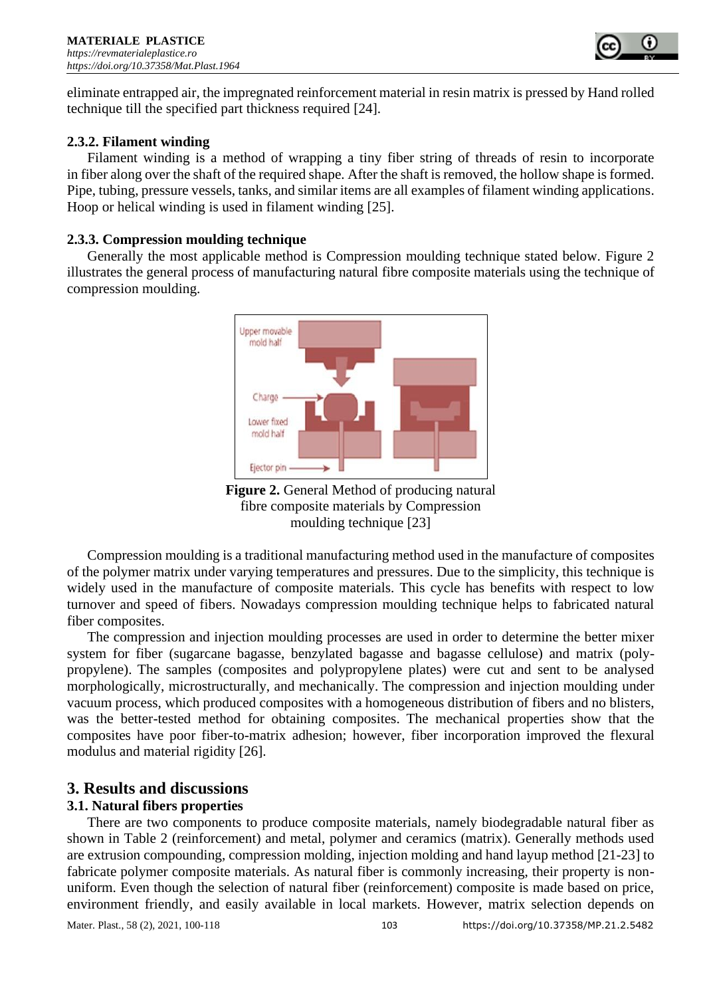

eliminate entrapped air, the impregnated reinforcement material in resin matrix is pressed by Hand rolled technique till the specified part thickness required [24].

# **2.3.2. Filament winding**

Filament winding is a method of wrapping a tiny fiber string of threads of resin to incorporate in fiber along over the shaft of the required shape. After the shaft is removed, the hollow shape is formed. Pipe, tubing, pressure vessels, tanks, and similar items are all examples of filament winding applications. Hoop or helical winding is used in filament winding [25].

## **2.3.3. Compression moulding technique**

Generally the most applicable method is Compression moulding technique stated below. Figure 2 illustrates the general process of manufacturing natural fibre composite materials using the technique of compression moulding.



**Figure 2.** General Method of producing natural fibre composite materials by Compression moulding technique [23]

Compression moulding is a traditional manufacturing method used in the manufacture of composites of the polymer matrix under varying temperatures and pressures. Due to the simplicity, this technique is widely used in the manufacture of composite materials. This cycle has benefits with respect to low turnover and speed of fibers. Nowadays compression moulding technique helps to fabricated natural fiber composites.

The compression and injection moulding processes are used in order to determine the better mixer system for fiber (sugarcane bagasse, benzylated bagasse and bagasse cellulose) and matrix (polypropylene). The samples (composites and polypropylene plates) were cut and sent to be analysed morphologically, microstructurally, and mechanically. The compression and injection moulding under vacuum process, which produced composites with a homogeneous distribution of fibers and no blisters, was the better-tested method for obtaining composites. The mechanical properties show that the composites have poor fiber-to-matrix adhesion; however, fiber incorporation improved the flexural modulus and material rigidity [26].

# **3. Results and discussions**

# **3.1. Natural fibers properties**

There are two components to produce composite materials, namely biodegradable natural fiber as shown in Table 2 (reinforcement) and metal, polymer and ceramics (matrix). Generally methods used are extrusion compounding, compression molding, injection molding and hand layup method [21-23] to fabricate polymer composite materials. As natural fiber is commonly increasing, their property is nonuniform. Even though the selection of natural fiber (reinforcement) composite is made based on price, environment friendly, and easily available in local markets. However, matrix selection depends on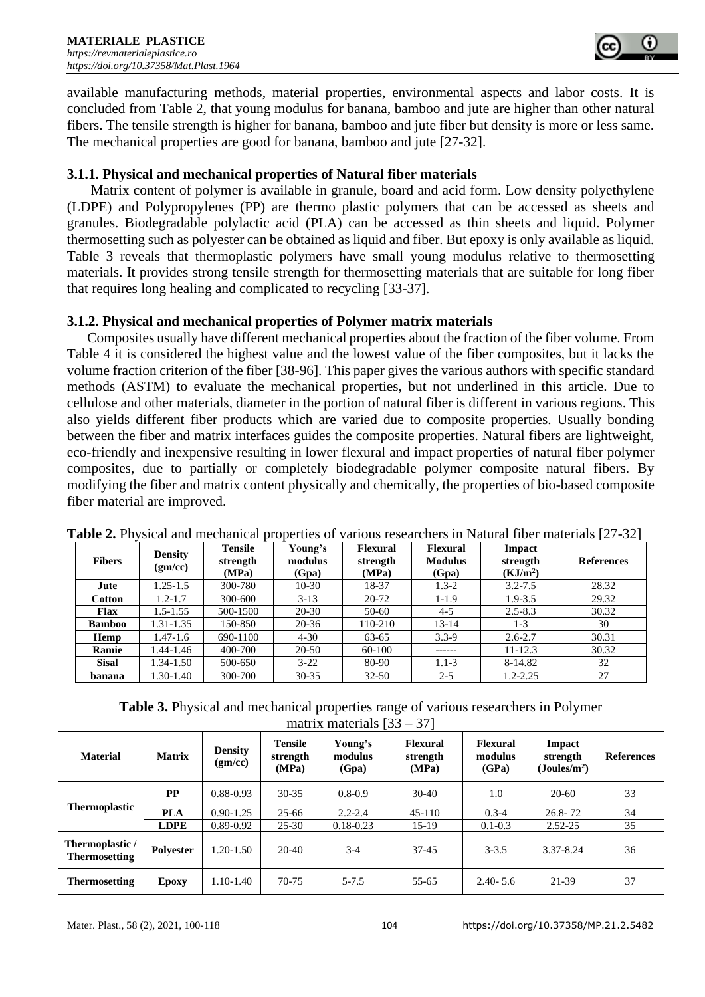

available manufacturing methods, material properties, environmental aspects and labor costs. It is concluded from Table 2, that young modulus for banana, bamboo and jute are higher than other natural fibers. The tensile strength is higher for banana, bamboo and jute fiber but density is more or less same. The mechanical properties are good for banana, bamboo and jute [27-32].

## **3.1.1. Physical and mechanical properties of Natural fiber materials**

Matrix content of polymer is available in granule, board and acid form. Low density polyethylene (LDPE) and Polypropylenes (PP) are thermo plastic polymers that can be accessed as sheets and granules. Biodegradable polylactic acid (PLA) can be accessed as thin sheets and liquid. Polymer thermosetting such as polyester can be obtained as liquid and fiber. But epoxy is only available as liquid. Table 3 reveals that thermoplastic polymers have small young modulus relative to thermosetting materials. It provides strong tensile strength for thermosetting materials that are suitable for long fiber that requires long healing and complicated to recycling [33-37].

# **3.1.2. Physical and mechanical properties of Polymer matrix materials**

Composites usually have different mechanical properties about the fraction of the fiber volume. From Table 4 it is considered the highest value and the lowest value of the fiber composites, but it lacks the volume fraction criterion of the fiber [38-96]. This paper gives the various authors with specific standard methods (ASTM) to evaluate the mechanical properties, but not underlined in this article. Due to cellulose and other materials, diameter in the portion of natural fiber is different in various regions. This also yields different fiber products which are varied due to composite properties. Usually bonding between the fiber and matrix interfaces guides the composite properties. Natural fibers are lightweight, eco-friendly and inexpensive resulting in lower flexural and impact properties of natural fiber polymer composites, due to partially or completely biodegradable polymer composite natural fibers. By modifying the fiber and matrix content physically and chemically, the properties of bio-based composite fiber material are improved.

| <b>Fibers</b> | <b>Density</b><br>(gm/cc) | <b>Tensile</b><br>strength<br>(MPa) | Young's<br>modulus<br>(Gpa) | <b>Flexural</b><br>strength<br>(MPa) | <b>Flexural</b><br><b>Modulus</b><br>(Gpa) | <b>Impact</b><br>strength<br>(KJ/m <sup>2</sup> ) | <b>References</b> |
|---------------|---------------------------|-------------------------------------|-----------------------------|--------------------------------------|--------------------------------------------|---------------------------------------------------|-------------------|
| Jute          | $1.25 - 1.5$              | 300-780                             | $10-30$                     | 18-37                                | $1.3 - 2$                                  | $3.2 - 7.5$                                       | 28.32             |
| <b>Cotton</b> | $1.2 - 1.7$               | 300-600                             | $3-13$                      | 20-72                                | $1-1.9$                                    | $1.9 - 3.5$                                       | 29.32             |
| <b>Flax</b>   | $1.5 - 1.55$              | 500-1500                            | 20-30                       | $50-60$                              | $4 - 5$                                    | $2.5 - 8.3$                                       | 30.32             |
| <b>Bamboo</b> | 1.31-1.35                 | 150-850                             | $20 - 36$                   | 110-210                              | $13 - 14$                                  | $1-3$                                             | 30                |
| Hemp          | $1.47 - 1.6$              | 690-1100                            | $4 - 30$                    | $63 - 65$                            | $3.3 - 9$                                  | $2.6 - 2.7$                                       | 30.31             |
| Ramie         | 1.44-1.46                 | 400-700                             | 20-50                       | 60-100                               | ------                                     | $11 - 12.3$                                       | 30.32             |
| <b>Sisal</b>  | 1.34-1.50                 | 500-650                             | $3-22$                      | 80-90                                | $1.1 - 3$                                  | 8-14.82                                           | 32                |
| banana        | 1.30-1.40                 | 300-700                             | $30 - 35$                   | $32 - 50$                            | $2 - 5$                                    | $1.2 - 2.25$                                      | 27                |

**Table 2.** Physical and mechanical properties of various researchers in Natural fiber materials [27-32]

| <b>Table 3.</b> Physical and mechanical properties range of various researchers in Polymer |
|--------------------------------------------------------------------------------------------|
| matrix materials $[33 - 37]$                                                               |

| <b>Material</b>                         | <b>Matrix</b>    | <b>Density</b><br>(gm/cc) | <b>Tensile</b><br>strength<br>(MPa) | Young's<br>modulus<br>(Gpa) | Flexural<br>strength<br>(MPa) | <b>Flexural</b><br>modulus<br>(GPa) | Impact<br>strength<br>(Joules/m <sup>2</sup> ) | <b>References</b> |
|-----------------------------------------|------------------|---------------------------|-------------------------------------|-----------------------------|-------------------------------|-------------------------------------|------------------------------------------------|-------------------|
| <b>Thermoplastic</b>                    | <b>PP</b>        | $0.88 - 0.93$             | $30 - 35$                           | $0.8 - 0.9$                 | $30-40$                       | 1.0                                 | $20-60$                                        | 33                |
|                                         | <b>PLA</b>       | $0.90 - 1.25$             | $25 - 66$                           | $2.2 - 2.4$                 | $45-110$                      | $0.3 - 4$                           | $26.8 - 72$                                    | 34                |
|                                         | <b>LDPE</b>      | $0.89 - 0.92$             | $25 - 30$                           | $0.18 - 0.23$               | $15-19$                       | $0.1 - 0.3$                         | $2.52 - 25$                                    | 35                |
| Thermoplastic /<br><b>Thermosetting</b> | <b>Polyester</b> | $1.20 - 1.50$             | $20-40$                             | $3-4$                       | $37 - 45$                     | $3 - 3.5$                           | 3.37-8.24                                      | 36                |
| <b>Thermosetting</b>                    | Epoxy            | $1.10 - 1.40$             | 70-75                               | $5 - 7.5$                   | $55 - 65$                     | $2.40 - 5.6$                        | 21-39                                          | 37                |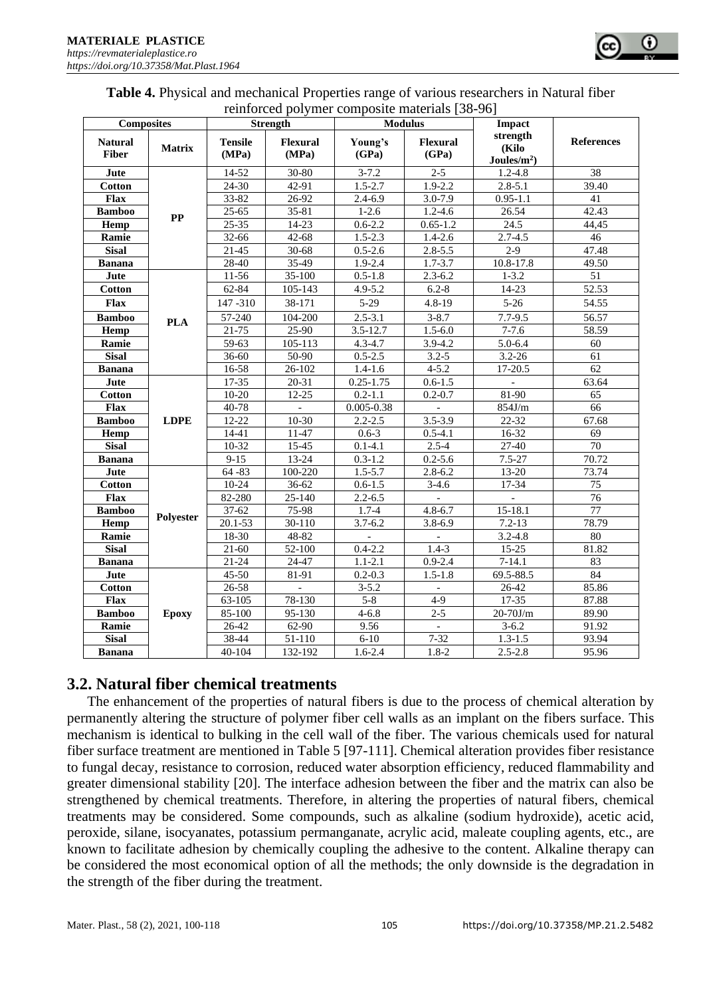**Jute**

**Jute**

**Jute**

**PLA**

**LDPE**

**Polyester**

**Epoxy**

| a01.01g/10.37338/Mat.Plast.1904                                                                                                                    |               |                  |                          |                  |                          |                                    |                   |  |
|----------------------------------------------------------------------------------------------------------------------------------------------------|---------------|------------------|--------------------------|------------------|--------------------------|------------------------------------|-------------------|--|
| <b>Table 4.</b> Physical and mechanical Properties range of various researchers in Natural fiber<br>reinforced polymer composite materials [38-96] |               |                  |                          |                  |                          |                                    |                   |  |
| <b>Composites</b>                                                                                                                                  |               | <b>Strength</b>  |                          |                  | <b>Modulus</b>           | Impact                             |                   |  |
| <b>Natural</b><br><b>Fiber</b>                                                                                                                     | <b>Matrix</b> | Tensile<br>(MPa) | <b>Flexural</b><br>(MPa) | Young's<br>(GPa) | <b>Flexural</b><br>(GPa) | strength<br>(Kilo<br>$Joules/m2$ ) | <b>References</b> |  |
| Jute                                                                                                                                               | $\bf PP$      | 14-52            | $30 - 80$                | $3 - 7.2$        | $2 - 5$                  | $1.2 - 4.8$                        | 38                |  |
| <b>Cotton</b>                                                                                                                                      |               | 24-30            | 42-91                    | $1.5 - 2.7$      | $1.9 - 2.2$              | $2.8 - 5.1$                        | 39.40             |  |
| Flax                                                                                                                                               |               | $33 - 82$        | 26-92                    | $2.4 - 6.9$      | $3.0 - 7.9$              | $0.95 - 1.1$                       | 41                |  |
| Bamboo                                                                                                                                             |               | $25 - 65$        | $35 - 81$                | $1-2.6$          | $1.2 - 4.6$              | 26.54                              | 42.43             |  |
| Hemp                                                                                                                                               |               | $25 - 35$        | 14-23                    | $0.6 - 2.2$      | $0.65 - 1.2$             | 24.5                               | 44,45             |  |
| Ramie                                                                                                                                              |               | $32 - 66$        | $42 - 68$                | $1.5 - 2.3$      | $1.4 - 2.6$              | $2.7 - 4.5$                        | 46                |  |
| <b>Sisal</b>                                                                                                                                       |               | 21-45            | $30 - 68$                | $0.5 - 2.6$      | $2.8 - 5.5$              | $2-9$                              | 47.48             |  |
| <b>Banana</b>                                                                                                                                      |               | 28-40            | $35-49$                  | $1.9 - 2.4$      | $1.7 - 3.7$              | 10.8-17.8                          | 49.50             |  |
| Jute                                                                                                                                               |               | 11-56            | $35-100$                 | $0.5 - 1.8$      | $2.3 - 6.2$              | $1 - 3.2$                          | 51                |  |

| <b>Table 4.</b> Physical and mechanical Properties range of various researchers in Natural fiber |
|--------------------------------------------------------------------------------------------------|
| reinforced polymer composite materials [38-96]                                                   |

**Cotton** 62-84 105-143 4.9-5.2 6.2-8 14-23 52.53 **Flax** 147 -310 38-171 5-29 4.8-19 5-26 54.55 **Bamboo b**<sub>DTA</sub> 57-240 104-200 2.5-3.1 3-8.7 7.7-9.5 56.57 **Hemp** 21-75 25-90 3.5-12.7 1.5-6.0 7-7.6 58.59 **Ramie** 1 59-63 105-113 4.3-4.7 3.9-4.2 5.0-6.4 60 **Sisal** | 36-60 | 50-90 | 0.5-2.5 | 3.2-5 | 3.2-26 | 61 **Banana** 16-58 26-102 1.4-1.6 4-5.2 17-20.5 62

**Cotton** 10-20 12-25 0.2-1.1 0.2-0.7 81-90 65 **Flax**  $\begin{vmatrix} 40-78 \end{vmatrix}$  - 0.005-0.38 - 854J/m 66 **Bamboo** | **LDPE** | 12-22 | 10-30 | 2.2-2.5 | 3.5-3.9 | 22-32 | 67.68 **Hemp** | 14-41 | 11-47 | 0.6-3 | 0.5-4.1 | 16-32 | 69 **Sisal** | 10-32 | 15-45 | 0.1-4.1 | 2.5-4 | 27-40 | 70 **Banana** | 9-15 | 13-24 | 0.3-1.2 | 0.2-5.6 | 7.5-27 | 70.72

**Cotton** 10-24 36-62 0.6-1.5 3-4.6 17-34 75 **Flax** | 82-280 25-140 2.2-6.5 | - | - | 76 **Bamboo Deluction** 37-62 75-98 1.7-4 4.8-6.7 15-18.1 77 **Hemp** 20.1-53 30-110 3.7-6.2 3.8-6.9 7.2-13 78.79 **Ramie** 18-30 48-82 - - 3.2-4.8 80 **Sisal** 21-60 52-100 0.4-2.2 1.4-3 15-25 81.82 **Banana** | 21-24 | 24-47 | 1.1-2.1 | 0.9-2.4 | 7-14.1 | 83

**Cotton** 26-58 - 3-5.2 - 26-42 85.86 **Flax** 63-105 78-130 5-8 4-9 17-35 87.88 **Bamboo | Epoxy |** 85-100 | 95-130 | 4-6.8 | 2-5 | 20-70J/m | 89.90 **Ramie** 26-42 62-90 9.56 - 3-6.2 91.92 **Sisal** | 38-44 51-110 6-10 7-32 1.3-1.5 93.94 **Banana** | 40-104 | 132-192 | 1.6-2.4 | 1.8-2 | 2.5-2.8 | 95.96

 $17-35$  20-31 0.25-1.75 0.6-1.5 - 63.64

64 -83 | 100-220 | 1.5-5.7 | 2.8-6.2 | 13-20 | 73.74

45-50 81-91 0.2-0.3 1.5-1.8 69.5-88.5 84

# **3.2. Natural fiber chemical treatments**

The enhancement of the properties of natural fibers is due to the process of chemical alteration by permanently altering the structure of polymer fiber cell walls as an implant on the fibers surface. This mechanism is identical to bulking in the cell wall of the fiber. The various chemicals used for natural fiber surface treatment are mentioned in Table 5 [97-111]. Chemical alteration provides fiber resistance to fungal decay, resistance to corrosion, reduced water absorption efficiency, reduced flammability and greater dimensional stability [20]. The interface adhesion between the fiber and the matrix can also be strengthened by chemical treatments. Therefore, in altering the properties of natural fibers, chemical treatments may be considered. Some compounds, such as alkaline (sodium hydroxide), acetic acid, peroxide, silane, isocyanates, potassium permanganate, acrylic acid, maleate coupling agents, etc., are known to facilitate adhesion by chemically coupling the adhesive to the content. Alkaline therapy can be considered the most economical option of all the methods; the only downside is the degradation in the strength of the fiber during the treatment.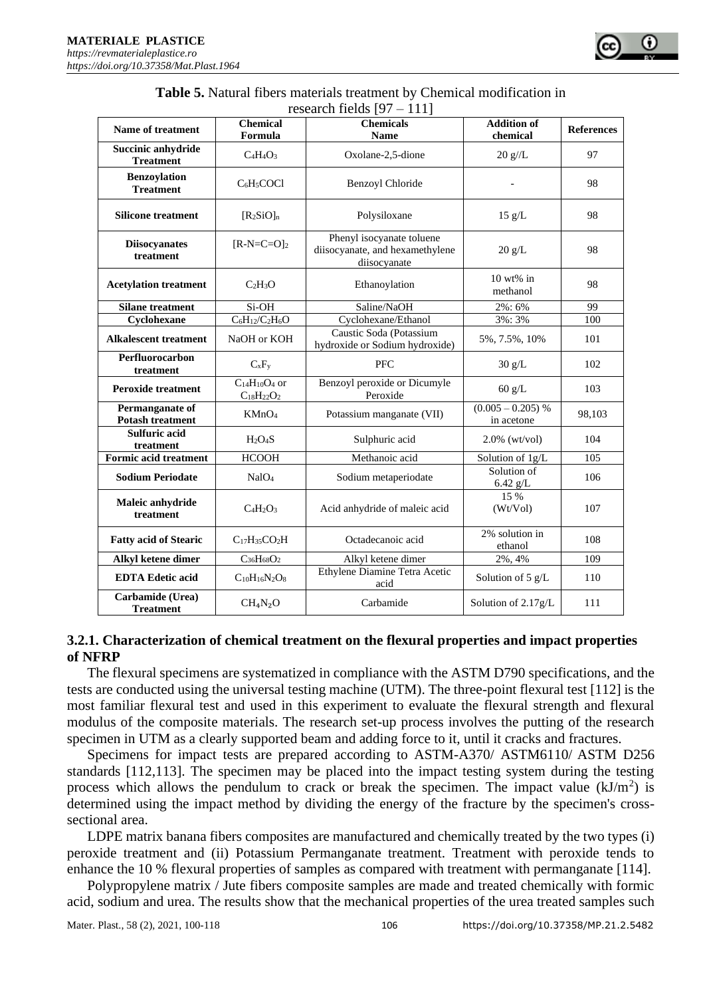

| $1030$ and $110103$ $171$<br>111           |                                           |                                                                              |                                   |                   |  |  |  |  |
|--------------------------------------------|-------------------------------------------|------------------------------------------------------------------------------|-----------------------------------|-------------------|--|--|--|--|
| <b>Name of treatment</b>                   | <b>Chemical</b><br>Formula                | <b>Chemicals</b><br><b>Name</b>                                              | <b>Addition of</b><br>chemical    | <b>References</b> |  |  |  |  |
| Succinic anhydride<br><b>Treatment</b>     | $C_4H_4O_3$                               | Oxolane-2,5-dione                                                            | 20 g/L                            | 97                |  |  |  |  |
| <b>Benzoylation</b><br><b>Treatment</b>    | $C_6H_5COCl$                              | <b>Benzoyl Chloride</b>                                                      |                                   | 98                |  |  |  |  |
| <b>Silicone treatment</b>                  | $[R_2SiO]_n$                              | Polysiloxane                                                                 | $15 \text{ g/L}$                  | 98                |  |  |  |  |
| <b>Diisocyanates</b><br>treatment          | $[R-N=C=O]_2$                             | Phenyl isocyanate toluene<br>diisocyanate, and hexamethylene<br>diisocyanate | 20 g/L                            | 98                |  |  |  |  |
| <b>Acetylation treatment</b>               | $C_2H_3O$                                 | Ethanoylation                                                                | $10$ wt% in<br>methanol           | 98                |  |  |  |  |
| <b>Silane</b> treatment                    | Si-OH                                     | Saline/NaOH                                                                  | 2%: 6%                            | 99                |  |  |  |  |
| Cyclohexane                                | $C_6H_{12}/C_2H_6O$                       | Cyclohexane/Ethanol                                                          | 3%: 3%                            | 100               |  |  |  |  |
| <b>Alkalescent treatment</b>               | NaOH or KOH                               | Caustic Soda (Potassium<br>hydroxide or Sodium hydroxide)                    | 5%, 7.5%, 10%                     | 101               |  |  |  |  |
| Perfluorocarbon<br>treatment               | $C_xF_y$                                  | <b>PFC</b>                                                                   | 30 g/L                            | 102               |  |  |  |  |
| <b>Peroxide treatment</b>                  | $C_{14}H_{10}O_4$ or<br>$C_{18}H_{22}O_2$ | Benzoyl peroxide or Dicumyle<br>Peroxide                                     | $60 \text{ g/L}$                  | 103               |  |  |  |  |
| Permanganate of<br><b>Potash treatment</b> | KMnO <sub>4</sub>                         | Potassium manganate (VII)                                                    | $(0.005 - 0.205)$ %<br>in acetone | 98,103            |  |  |  |  |
| Sulfuric acid<br>treatment                 | H <sub>2</sub> O <sub>4</sub> S           | Sulphuric acid                                                               | $2.0\%$ (wt/vol)                  | 104               |  |  |  |  |
| Formic acid treatment                      | <b>HCOOH</b>                              | Methanoic acid                                                               | Solution of 1g/L                  | 105               |  |  |  |  |
| <b>Sodium Periodate</b>                    | NaIO <sub>4</sub>                         | Sodium metaperiodate                                                         | Solution of<br>6.42 $g/L$         | 106               |  |  |  |  |
| Maleic anhydride<br>treatment              | $C_4H_2O_3$                               | Acid anhydride of maleic acid                                                | 15 %<br>(Wt/Vol)                  | 107               |  |  |  |  |
| <b>Fatty acid of Stearic</b>               | $C_{17}H_{35}CO_2H$                       | Octadecanoic acid                                                            | 2% solution in<br>ethanol         | 108               |  |  |  |  |
| Alkyl ketene dimer                         | $C_{36}H_{68}O_2$                         | Alkyl ketene dimer                                                           | 2%, 4%                            | 109               |  |  |  |  |
| <b>EDTA Edetic acid</b>                    | $C_{10}H_{16}N_2O_8$                      | Ethylene Diamine Tetra Acetic<br>acid                                        | Solution of 5 g/L                 | 110               |  |  |  |  |
| Carbamide (Urea)<br><b>Treatment</b>       | CH <sub>4</sub> N <sub>2</sub> O          | Carbamide                                                                    | Solution of 2.17g/L               | 111               |  |  |  |  |

#### **Table 5.** Natural fibers materials treatment by Chemical modification in research fields [97 – 111]

# **3.2.1. Characterization of chemical treatment on the flexural properties and impact properties of NFRP**

The flexural specimens are systematized in compliance with the ASTM D790 specifications, and the tests are conducted using the universal testing machine (UTM). The three-point flexural test [112] is the most familiar flexural test and used in this experiment to evaluate the flexural strength and flexural modulus of the composite materials. The research set-up process involves the putting of the research specimen in UTM as a clearly supported beam and adding force to it, until it cracks and fractures.

Specimens for impact tests are prepared according to ASTM-A370/ ASTM6110/ ASTM D256 standards [112,113]. The specimen may be placed into the impact testing system during the testing process which allows the pendulum to crack or break the specimen. The impact value  $(kJ/m<sup>2</sup>)$  is determined using the impact method by dividing the energy of the fracture by the specimen's crosssectional area.

LDPE matrix banana fibers composites are manufactured and chemically treated by the two types (i) peroxide treatment and (ii) Potassium Permanganate treatment. Treatment with peroxide tends to enhance the 10 % flexural properties of samples as compared with treatment with permanganate [114].

Polypropylene matrix / Jute fibers composite samples are made and treated chemically with formic acid, sodium and urea. The results show that the mechanical properties of the urea treated samples such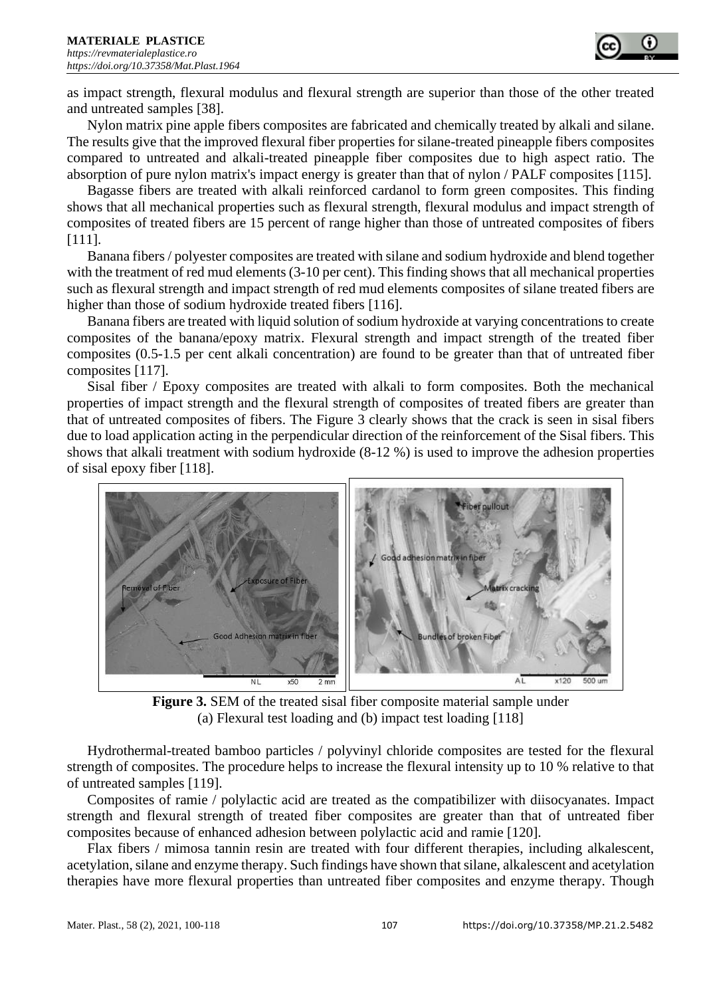

as impact strength, flexural modulus and flexural strength are superior than those of the other treated and untreated samples [38].

Nylon matrix pine apple fibers composites are fabricated and chemically treated by alkali and silane. The results give that the improved flexural fiber properties for silane-treated pineapple fibers composites compared to untreated and alkali-treated pineapple fiber composites due to high aspect ratio. The absorption of pure nylon matrix's impact energy is greater than that of nylon / PALF composites [115].

Bagasse fibers are treated with alkali reinforced cardanol to form green composites. This finding shows that all mechanical properties such as flexural strength, flexural modulus and impact strength of composites of treated fibers are 15 percent of range higher than those of untreated composites of fibers [111].

Banana fibers / polyester composites are treated with silane and sodium hydroxide and blend together with the treatment of red mud elements (3-10 per cent). This finding shows that all mechanical properties such as flexural strength and impact strength of red mud elements composites of silane treated fibers are higher than those of sodium hydroxide treated fibers [116].

Banana fibers are treated with liquid solution of sodium hydroxide at varying concentrations to create composites of the banana/epoxy matrix. Flexural strength and impact strength of the treated fiber composites (0.5-1.5 per cent alkali concentration) are found to be greater than that of untreated fiber composites [117].

Sisal fiber / Epoxy composites are treated with alkali to form composites. Both the mechanical properties of impact strength and the flexural strength of composites of treated fibers are greater than that of untreated composites of fibers. The Figure 3 clearly shows that the crack is seen in sisal fibers due to load application acting in the perpendicular direction of the reinforcement of the Sisal fibers. This shows that alkali treatment with sodium hydroxide (8-12 %) is used to improve the adhesion properties of sisal epoxy fiber [118].



**Figure 3.** SEM of the treated sisal fiber composite material sample under (a) Flexural test loading and (b) impact test loading [118]

Hydrothermal-treated bamboo particles / polyvinyl chloride composites are tested for the flexural strength of composites. The procedure helps to increase the flexural intensity up to 10 % relative to that of untreated samples [119].

Composites of ramie / polylactic acid are treated as the compatibilizer with diisocyanates. Impact strength and flexural strength of treated fiber composites are greater than that of untreated fiber composites because of enhanced adhesion between polylactic acid and ramie [120].

Flax fibers / mimosa tannin resin are treated with four different therapies, including alkalescent, acetylation, silane and enzyme therapy. Such findings have shown that silane, alkalescent and acetylation therapies have more flexural properties than untreated fiber composites and enzyme therapy. Though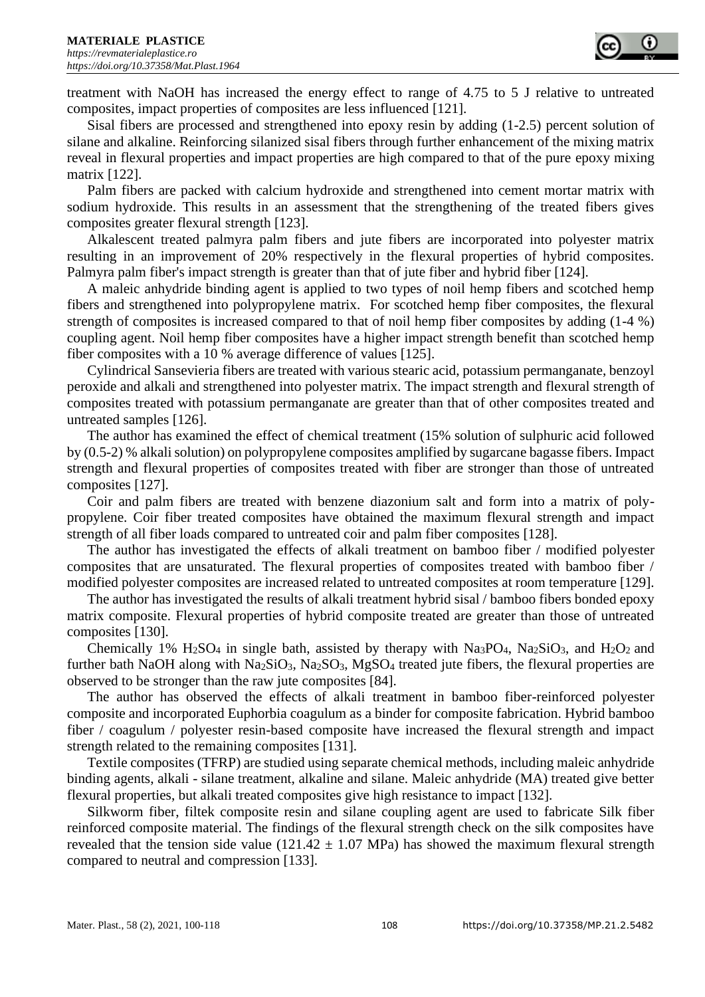

treatment with NaOH has increased the energy effect to range of 4.75 to 5 J relative to untreated composites, impact properties of composites are less influenced [121].

Sisal fibers are processed and strengthened into epoxy resin by adding (1-2.5) percent solution of silane and alkaline. Reinforcing silanized sisal fibers through further enhancement of the mixing matrix reveal in flexural properties and impact properties are high compared to that of the pure epoxy mixing matrix [122].

Palm fibers are packed with calcium hydroxide and strengthened into cement mortar matrix with sodium hydroxide. This results in an assessment that the strengthening of the treated fibers gives composites greater flexural strength [123].

Alkalescent treated palmyra palm fibers and jute fibers are incorporated into polyester matrix resulting in an improvement of 20% respectively in the flexural properties of hybrid composites. Palmyra palm fiber's impact strength is greater than that of jute fiber and hybrid fiber [124].

A maleic anhydride binding agent is applied to two types of noil hemp fibers and scotched hemp fibers and strengthened into polypropylene matrix. For scotched hemp fiber composites, the flexural strength of composites is increased compared to that of noil hemp fiber composites by adding (1-4 %) coupling agent. Noil hemp fiber composites have a higher impact strength benefit than scotched hemp fiber composites with a 10 % average difference of values [125].

Cylindrical Sansevieria fibers are treated with various stearic acid, potassium permanganate, benzoyl peroxide and alkali and strengthened into polyester matrix. The impact strength and flexural strength of composites treated with potassium permanganate are greater than that of other composites treated and untreated samples [126].

The author has examined the effect of chemical treatment (15% solution of sulphuric acid followed by (0.5-2) % alkali solution) on polypropylene composites amplified by sugarcane bagasse fibers. Impact strength and flexural properties of composites treated with fiber are stronger than those of untreated composites [127].

Coir and palm fibers are treated with benzene diazonium salt and form into a matrix of polypropylene. Coir fiber treated composites have obtained the maximum flexural strength and impact strength of all fiber loads compared to untreated coir and palm fiber composites [128].

The author has investigated the effects of alkali treatment on bamboo fiber / modified polyester composites that are unsaturated. The flexural properties of composites treated with bamboo fiber / modified polyester composites are increased related to untreated composites at room temperature [129].

The author has investigated the results of alkali treatment hybrid sisal / bamboo fibers bonded epoxy matrix composite. Flexural properties of hybrid composite treated are greater than those of untreated composites [130].

Chemically 1%  $H_2SO_4$  in single bath, assisted by therapy with  $Na_3PO_4$ ,  $Na_2SiO_3$ , and  $H_2O_2$  and further bath NaOH along with  $Na_2SiO_3$ ,  $Na_2SO_3$ ,  $MgSO_4$  treated jute fibers, the flexural properties are observed to be stronger than the raw jute composites [84].

The author has observed the effects of alkali treatment in bamboo fiber-reinforced polyester composite and incorporated Euphorbia coagulum as a binder for composite fabrication. Hybrid bamboo fiber / coagulum / polyester resin-based composite have increased the flexural strength and impact strength related to the remaining composites [131].

Textile composites (TFRP) are studied using separate chemical methods, including maleic anhydride binding agents, alkali - silane treatment, alkaline and silane. Maleic anhydride (MA) treated give better flexural properties, but alkali treated composites give high resistance to impact [132].

Silkworm fiber, filtek composite resin and silane coupling agent are used to fabricate Silk fiber reinforced composite material. The findings of the flexural strength check on the silk composites have revealed that the tension side value (121.42  $\pm$  1.07 MPa) has showed the maximum flexural strength compared to neutral and compression [133].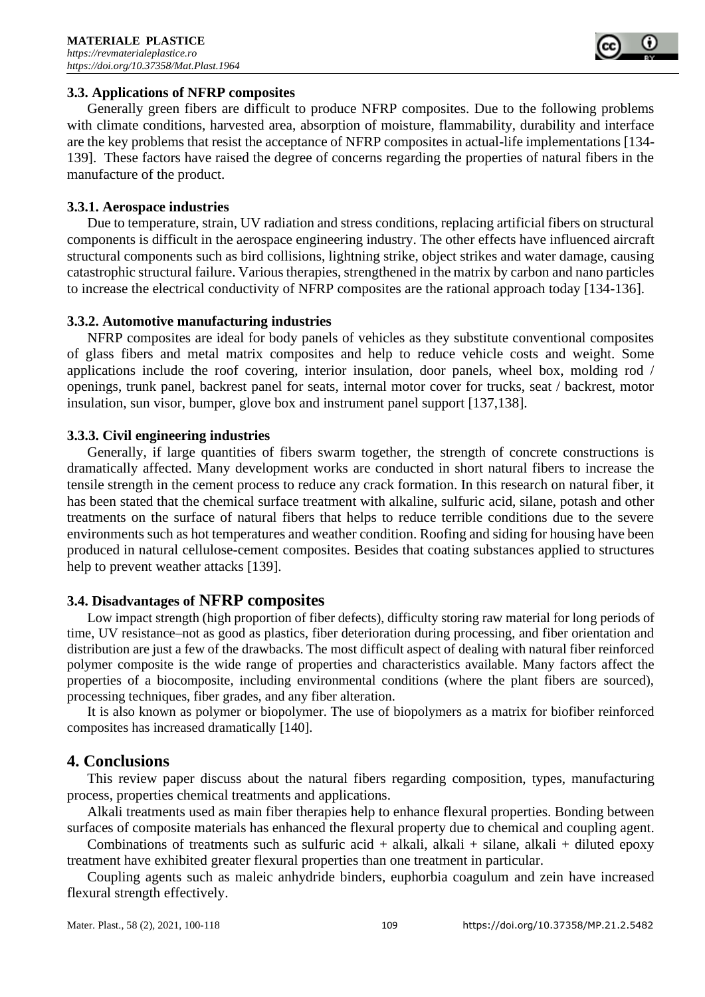

#### **3.3. Applications of NFRP composites**

Generally green fibers are difficult to produce NFRP composites. Due to the following problems with climate conditions, harvested area, absorption of moisture, flammability, durability and interface are the key problems that resist the acceptance of NFRP composites in actual-life implementations [134- 139]. These factors have raised the degree of concerns regarding the properties of natural fibers in the manufacture of the product.

### **3.3.1. Aerospace industries**

Due to temperature, strain, UV radiation and stress conditions, replacing artificial fibers on structural components is difficult in the aerospace engineering industry. The other effects have influenced aircraft structural components such as bird collisions, lightning strike, object strikes and water damage, causing catastrophic structural failure. Various therapies, strengthened in the matrix by carbon and nano particles to increase the electrical conductivity of NFRP composites are the rational approach today [134-136].

### **3.3.2. Automotive manufacturing industries**

NFRP composites are ideal for body panels of vehicles as they substitute conventional composites of glass fibers and metal matrix composites and help to reduce vehicle costs and weight. Some applications include the roof covering, interior insulation, door panels, wheel box, molding rod / openings, trunk panel, backrest panel for seats, internal motor cover for trucks, seat / backrest, motor insulation, sun visor, bumper, glove box and instrument panel support [137,138].

#### **3.3.3. Civil engineering industries**

Generally, if large quantities of fibers swarm together, the strength of concrete constructions is dramatically affected. Many development works are conducted in short natural fibers to increase the tensile strength in the cement process to reduce any crack formation. In this research on natural fiber, it has been stated that the chemical surface treatment with alkaline, sulfuric acid, silane, potash and other treatments on the surface of natural fibers that helps to reduce terrible conditions due to the severe environments such as hot temperatures and weather condition. Roofing and siding for housing have been produced in natural cellulose-cement composites. Besides that coating substances applied to structures help to prevent weather attacks [139].

## **3.4. Disadvantages of NFRP composites**

Low impact strength (high proportion of fiber defects), difficulty storing raw material for long periods of time, UV resistance–not as good as plastics, fiber deterioration during processing, and fiber orientation and distribution are just a few of the drawbacks. The most difficult aspect of dealing with natural fiber reinforced polymer composite is the wide range of properties and characteristics available. Many factors affect the properties of a biocomposite, including environmental conditions (where the plant fibers are sourced), processing techniques, fiber grades, and any fiber alteration.

It is also known as polymer or biopolymer. The use of biopolymers as a matrix for biofiber reinforced composites has increased dramatically [140].

## **4. Conclusions**

This review paper discuss about the natural fibers regarding composition, types, manufacturing process, properties chemical treatments and applications.

Alkali treatments used as main fiber therapies help to enhance flexural properties. Bonding between surfaces of composite materials has enhanced the flexural property due to chemical and coupling agent.

Combinations of treatments such as sulfuric acid  $+$  alkali, alkali  $+$  silane, alkali  $+$  diluted epoxy treatment have exhibited greater flexural properties than one treatment in particular.

Coupling agents such as maleic anhydride binders, euphorbia coagulum and zein have increased flexural strength effectively.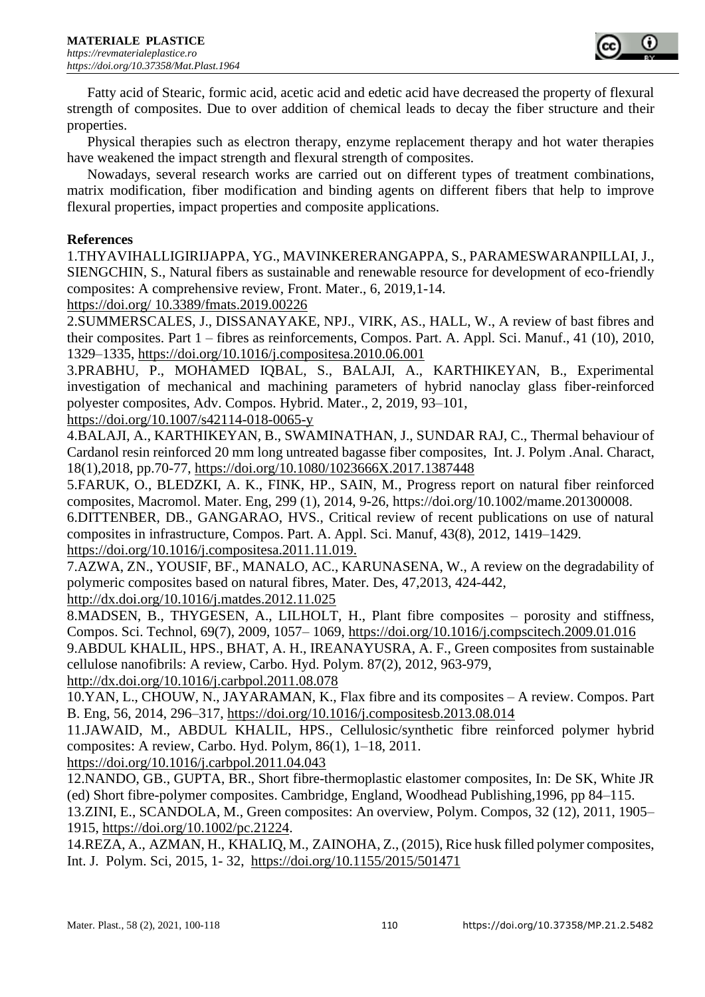

Fatty acid of Stearic, formic acid, acetic acid and edetic acid have decreased the property of flexural strength of composites. Due to over addition of chemical leads to decay the fiber structure and their properties.

Physical therapies such as electron therapy, enzyme replacement therapy and hot water therapies have weakened the impact strength and flexural strength of composites.

Nowadays, several research works are carried out on different types of treatment combinations, matrix modification, fiber modification and binding agents on different fibers that help to improve flexural properties, impact properties and composite applications.

## **References**

1.THYAVIHALLIGIRIJAPPA, YG., MAVINKERERANGAPPA, S., PARAMESWARANPILLAI, J., SIENGCHIN, S., Natural fibers as sustainable and renewable resource for development of eco-friendly composites: A comprehensive review, Front. Mater., 6, 2019,1-14.

https://doi.org/ 10.3389/fmats.2019.00226

2.SUMMERSCALES, J., DISSANAYAKE, NPJ., VIRK, AS., HALL, W., A review of bast fibres and their composites. Part 1 – fibres as reinforcements, Compos. Part. A. Appl. Sci. Manuf., 41 (10), 2010, 1329–1335, https://doi.org/10.1016/j.compositesa.2010.06.001

3.PRABHU, P., MOHAMED IQBAL, S., BALAJI, A., KARTHIKEYAN, B., Experimental investigation of mechanical and machining parameters of hybrid nanoclay glass fiber-reinforced polyester composites, Adv. Compos. Hybrid. Mater., 2, 2019, 93–101,

https://doi.org/10.1007/s42114-018-0065-y

4.BALAJI, A., KARTHIKEYAN, B., SWAMINATHAN, J., SUNDAR RAJ, C., Thermal behaviour of Cardanol resin reinforced 20 mm long untreated bagasse fiber composites, [Int. J. Polym .Anal. Charact,](%20Int.%20J.%20Polym%20.Anal.%20Charact) 18(1),2018, pp.70-77,<https://doi.org/10.1080/1023666X.2017.1387448>

5.FARUK, O., BLEDZKI, A. K., FINK, HP., SAIN, M., Progress report on natural fiber reinforced composites, Macromol. Mater. Eng, 299 (1), 2014, 9-26, https://doi.org/10.1002/mame.201300008.

6.DITTENBER, DB., GANGARAO, HVS., Critical review of recent publications on use of natural composites in infrastructure, Compos. Part. A. Appl. Sci. Manuf, 43(8), 2012, 1419–1429. https://doi.org/10.1016/j.compositesa.2011.11.019.

7.AZWA, ZN., YOUSIF, BF., MANALO, AC., KARUNASENA, W., A review on the degradability of polymeric composites based on natural fibres, Mater. Des, 47,2013, 424-442,

http://dx.doi.org/10.1016/j.matdes.2012.11.025

8.MADSEN, B., THYGESEN, A., LILHOLT, H., Plant fibre composites – porosity and stiffness, Compos. Sci. Technol, 69(7), 2009, 1057– 1069,<https://doi.org/10.1016/j.compscitech.2009.01.016>

9.ABDUL KHALIL, HPS., BHAT, A. H., IREANAYUSRA, A. F., Green composites from sustainable cellulose nanofibrils: A review, Carbo. Hyd. Polym. 87(2), 2012, 963-979,

http://dx.doi.org/10.1016/j.carbpol.2011.08.078

10.YAN, L., CHOUW, N., JAYARAMAN, K., Flax fibre and its composites – A review. Compos. Part B. Eng, 56, 2014, 296–317,<https://doi.org/10.1016/j.compositesb.2013.08.014>

11.JAWAID, M., ABDUL KHALIL, HPS., Cellulosic/synthetic fibre reinforced polymer hybrid composites: A review, Carbo. Hyd. Polym, 86(1), 1–18, 2011.

https://doi.org/10.1016/j.carbpol.2011.04.043

12.NANDO, GB., GUPTA, BR., Short fibre-thermoplastic elastomer composites, In: De SK, White JR (ed) Short fibre-polymer composites. Cambridge, England, Woodhead Publishing,1996, pp 84–115.

13.ZINI, E., SCANDOLA, M., Green composites: An overview, Polym. Compos, 32 (12), 2011, 1905– 1915, [https://doi.org/10.1002/pc.21224.](https://doi.org/10.1002/pc.21224)

14.REZA, A., AZMAN, H., KHALIQ, M., ZAINOHA, Z., (2015), Rice husk filled polymer composites, Int. J. Polym. Sci, 2015, 1- 32, <https://doi.org/10.1155/2015/501471>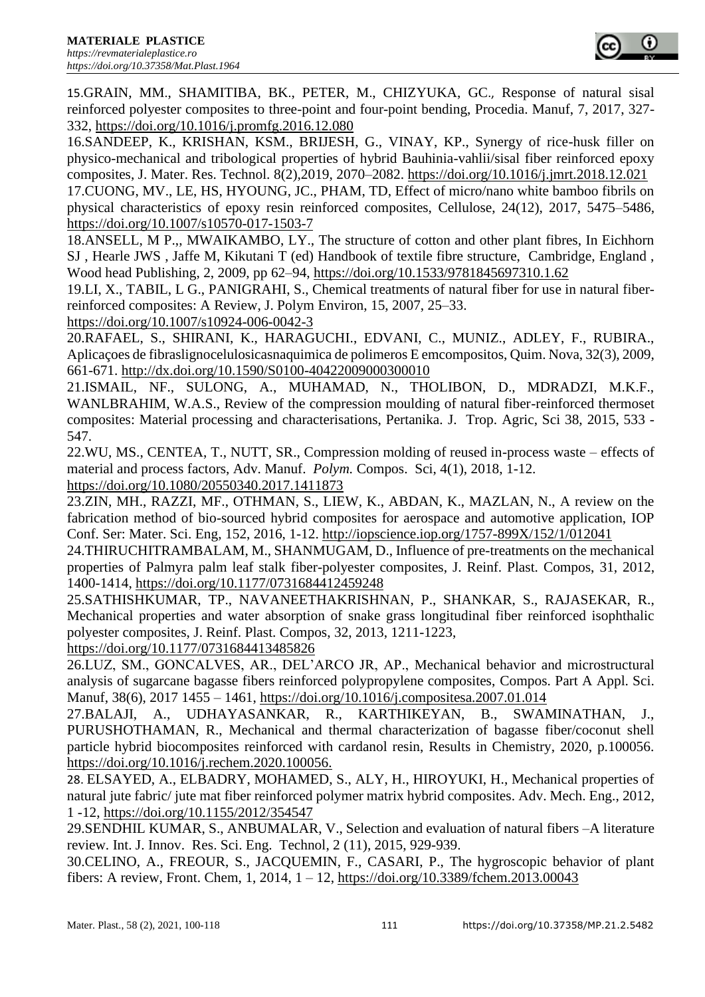15.[GRAIN, MM](https://www.sciencedirect.com/science/article/pii/S2351978916302438#!)., [SHAMITIBA, BK](https://www.sciencedirect.com/science/article/pii/S2351978916302438#!)., [PETER, M](https://www.sciencedirect.com/science/article/pii/S2351978916302438#!)., [CHIZYUKA, GC](https://www.sciencedirect.com/science/article/pii/S2351978916302438#!)., Response of natural sisal reinforced polyester composites to three-point and four-point bending, Procedia. Manuf, 7, 2017, 327- 332,<https://doi.org/10.1016/j.promfg.2016.12.080>

16.SANDEEP, K., KRISHAN, KSM., BRIJESH, G., VINAY, KP., Synergy of rice-husk filler on physico-mechanical and tribological properties of hybrid Bauhinia-vahlii/sisal fiber reinforced epoxy composites, J. Mater. Res. Technol. 8(2),2019, 2070–2082.<https://doi.org/10.1016/j.jmrt.2018.12.021>

17.CUONG, MV., LE, HS, HYOUNG, JC., PHAM, TD, Effect of micro/nano white bamboo fibrils on physical characteristics of epoxy resin reinforced composites, Cellulose, 24(12), 2017, 5475–5486, https://doi.org/10.1007/s10570-017-1503-7

18.ANSELL, M P.,, MWAIKAMBO, LY., The structure of cotton and other plant fibres, In Eichhorn SJ , Hearle JWS , Jaffe M, Kikutani T (ed) Handbook of textile fibre structure, Cambridge, England , Wood head Publishing, 2, 2009, pp 62–94,<https://doi.org/10.1533/9781845697310.1.62>

19.LI, X., TABIL, L G., PANIGRAHI, S., Chemical treatments of natural fiber for use in natural fiberreinforced composites: A Review, J. Polym Environ, 15, 2007, 25–33.

https://doi.org/10.1007/s10924-006-0042-3

20.RAFAEL, S., SHIRANI, K., HARAGUCHI., EDVANI, C., MUNIZ., ADLEY, F., RUBIRA., Aplicaçoes de fibraslignocelulosicasnaquimica de polimeros E emcompositos, Quim. Nova, 32(3), 2009, 661-671. http://dx.doi.org/10.1590/S0100-40422009000300010

21.ISMAIL, NF., SULONG, A., MUHAMAD, N., THOLIBON, D., MDRADZI, M.K.F., WANLBRAHIM, W.A.S., Review of the compression moulding of natural fiber-reinforced thermoset composites: Material processing and characterisations, Pertanika. J. Trop. Agric, Sci 38, 2015, 533 - 547.

22.WU, MS., CENTEA, T., NUTT, SR., Compression molding of reused in-process waste – effects of material and process factors, Adv. Manuf. *Polym.* Compos. Sci, 4(1), 2018, 1-12. <https://doi.org/10.1080/20550340.2017.1411873>

23.ZIN, MH., RAZZI, MF., OTHMAN, S., LIEW, K., ABDAN, K., MAZLAN, N., A review on the fabrication method of bio-sourced hybrid composites for aerospace and automotive application, IOP Conf. Ser: Mater. Sci. Eng, 152, 2016, 1-12.<http://iopscience.iop.org/1757-899X/152/1/012041>

24.THIRUCHITRAMBALAM, M., SHANMUGAM, D., Influence of pre-treatments on the mechanical properties of Palmyra palm leaf stalk fiber-polyester composites, J. Reinf. Plast. Compos, 31, 2012, 1400-1414, [https://doi.org/10.1177/0731684412459248](https://doi.org/10.1177%2F0731684412459248)

25.SATHISHKUMAR, TP., NAVANEETHAKRISHNAN, P., SHANKAR, S., RAJASEKAR, R., Mechanical properties and water absorption of snake grass longitudinal fiber reinforced isophthalic polyester composites, J. Reinf. Plast. Compos, 32, 2013, 1211-1223,

<https://doi.org/10.1177/0731684413485826>

26.LUZ, SM., GONCALVES, AR., DEL'ARCO JR, AP., Mechanical behavior and microstructural analysis of sugarcane bagasse fibers reinforced polypropylene composites, Compos. Part A Appl. Sci. Manuf, 38(6), 2017 1455 – 1461, <https://doi.org/10.1016/j.compositesa.2007.01.014>

27.BALAJI, A., UDHAYASANKAR, R., KARTHIKEYAN, B., SWAMINATHAN, J., PURUSHOTHAMAN, R., Mechanical and thermal characterization of bagasse fiber/coconut shell particle hybrid biocomposites reinforced with cardanol resin, Results in Chemistry, 2020, p.100056. [https://doi.org/10.1016/j.rechem.2020.100056.](https://doi.org/10.1016/j.rechem.2020.100056)

28. ELSAYED, A., ELBADRY, MOHAMED, S., ALY, H., HIROYUKI, H., Mechanical properties of natural jute fabric/ jute mat fiber reinforced polymer matrix hybrid composites. Adv. Mech. Eng., 2012, 1 -12, [https://doi.org/10.1155/2012/354547](https://doi.org/10.1155%2F2012%2F354547)

29.SENDHIL KUMAR, S., ANBUMALAR, V., Selection and evaluation of natural fibers –A literature review. Int. J. Innov. Res. Sci. Eng. Technol, 2 (11), 2015, 929-939.

30.CELINO, A., FREOUR, S., JACQUEMIN, F., CASARI, P., The hygroscopic behavior of plant fibers: A review, Front. Chem, 1, 2014, 1 – 12,<https://doi.org/10.3389/fchem.2013.00043>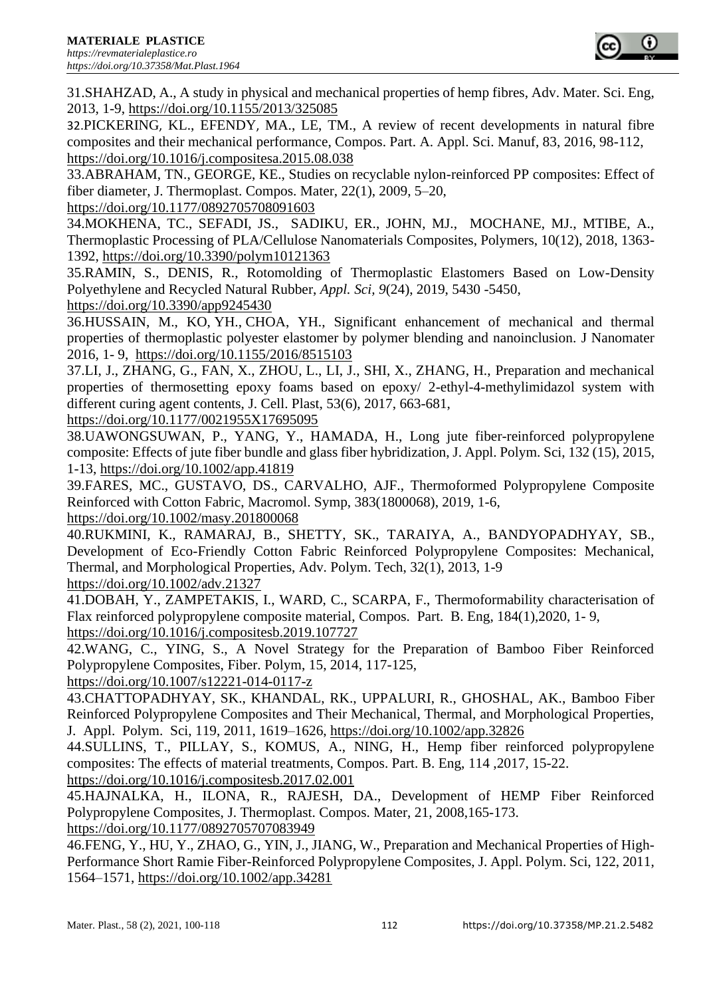31.SHAHZAD, A., A study in physical and mechanical properties of hemp fibres, Adv. Mater. Sci. Eng, 2013, 1-9,<https://doi.org/10.1155/2013/325085>

32.[PICKERING](https://www.sciencedirect.com/science/article/pii/S1359835X15003115#!), KL., [EFENDY](https://www.sciencedirect.com/science/article/pii/S1359835X15003115#!), MA., LE, TM., A review of recent developments in natural fibre composites and their mechanical performance, Compos. Part. A. Appl. Sci. Manuf, 83, 2016, 98-112, <https://doi.org/10.1016/j.compositesa.2015.08.038>

33.ABRAHAM, TN., GEORGE, KE., Studies on recyclable nylon-reinforced PP composites: Effect of fiber diameter, J. Thermoplast. Compos. Mater, 22(1), 2009, 5–20,

<https://doi.org/10.1177/0892705708091603>

34.MOKHENA, TC., SEFADI, JS., SADIKU, ER., JOHN, MJ., MOCHANE, MJ., MTIBE, A., Thermoplastic Processing of PLA/Cellulose Nanomaterials Composites, Polymers, 10(12), 2018, 1363- 1392,<https://doi.org/10.3390/polym10121363>

35.RAMIN, S., DENIS, R., Rotomolding of Thermoplastic Elastomers Based on Low-Density Polyethylene and Recycled Natural Rubber, *Appl. Sci, 9*(24), 2019, 5430 -5450,

<https://doi.org/10.3390/app9245430>

36.HUSSAIN, M., KO, YH., CHOA, YH., Significant enhancement of mechanical and thermal properties of thermoplastic polyester elastomer by polymer blending and nanoinclusion. J Nanomater 2016, 1- 9, <https://doi.org/10.1155/2016/8515103>

37.LI, J., ZHANG, G., FAN, X., ZHOU, L., LI, J., SHI, X., ZHANG, H., Preparation and mechanical properties of thermosetting epoxy foams based on epoxy/ 2-ethyl-4-methylimidazol system with different curing agent contents, J. Cell. Plast, 53(6), 2017, 663-681,

<https://doi.org/10.1177/0021955X17695095>

38.UAWONGSUWAN, P., YANG, Y., HAMADA, H., Long jute fiber-reinforced polypropylene composite: Effects of jute fiber bundle and glass fiber hybridization, J. Appl. Polym. Sci, 132 (15), 2015, 1-13,<https://doi.org/10.1002/app.41819>

39.FARES, MC., [GUSTAVO, DS](https://onlinelibrary.wiley.com/action/doSearch?ContribAuthorStored=de+Souza%2C+Gustavo)., CARVALHO, AJF., Thermoformed Polypropylene Composite Reinforced with Cotton Fabric, Macromol. Symp, 383(1800068), 2019, 1-6, <https://doi.org/10.1002/masy.201800068>

40.RUKMINI, K., RAMARAJ, B., SHETTY, SK., TARAIYA, A., BANDYOPADHYAY, SB., Development of Eco-Friendly Cotton Fabric Reinforced Polypropylene Composites: Mechanical, Thermal, and Morphological Properties, Adv. Polym. Tech, 32(1), 2013, 1-9

https://doi.org/10.1002/adv.21327

41.DOBAH, Y., ZAMPETAKIS, I., WARD, C., SCARPA, F., Thermoformability characterisation of Flax reinforced polypropylene composite material, Compos. Part. B. Eng, 184(1),2020, 1- 9, <https://doi.org/10.1016/j.compositesb.2019.107727>

42.WANG, C., YING, S., A Novel Strategy for the Preparation of Bamboo Fiber Reinforced Polypropylene Composites, Fiber. Polym, 15, 2014, 117-125,

https://doi.org/10.1007/s12221-014-0117-z

43.CHATTOPADHYAY, SK., KHANDAL, RK., UPPALURI, R., GHOSHAL, AK., Bamboo Fiber Reinforced Polypropylene Composites and Their Mechanical, Thermal, and Morphological Properties, J. Appl. Polym. Sci, 119, 2011, 1619–1626,<https://doi.org/10.1002/app.32826>

44.SULLINS, T., PILLAY, S., KOMUS, A., NING, H., Hemp fiber reinforced polypropylene composites: The effects of material treatments, Compos. Part. B. Eng, 114 ,2017, 15-22. <https://doi.org/10.1016/j.compositesb.2017.02.001>

45.HAJNALKA, H., ILONA, R., RAJESH, DA., Development of HEMP Fiber Reinforced Polypropylene Composites, J. Thermoplast. Compos. Mater, 21, 2008,165-173. <https://doi.org/10.1177/0892705707083949>

46.FENG, Y., HU, Y., ZHAO, G., YIN, J., JIANG, W., Preparation and Mechanical Properties of High-Performance Short Ramie Fiber-Reinforced Polypropylene Composites, J. Appl. Polym. Sci, 122, 2011, 1564–1571,<https://doi.org/10.1002/app.34281>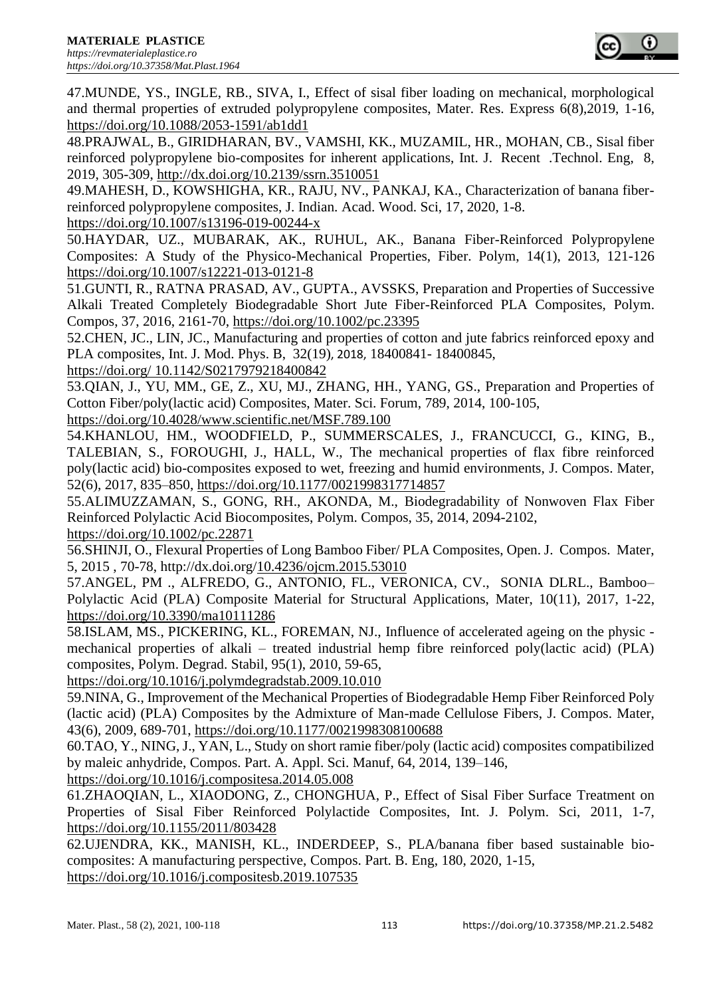

47.MUNDE, YS., INGLE, RB., SIVA, I., Effect of sisal fiber loading on mechanical, morphological and thermal properties of extruded polypropylene composites, Mater. Res. Express 6(8),2019, 1-16, https://doi.org/10.1088/2053-1591/ab1dd1

48.PRAJWAL, B., GIRIDHARAN, BV., VAMSHI, KK., MUZAMIL, HR., MOHAN, CB., Sisal fiber reinforced polypropylene bio-composites for inherent applications, Int. J. Recent .Technol. Eng, 8, 2019, 305-309, [http://dx.doi.org/10.2139/ssrn.3510051](https://dx.doi.org/10.2139/ssrn.3510051)

49.MAHESH, D., KOWSHIGHA, KR., RAJU, NV., PANKAJ, KA., Characterization of banana fiberreinforced polypropylene composites, J. Indian. Acad. Wood. Sci, 17, 2020, 1-8.

<https://doi.org/10.1007/s13196-019-00244-x>

50.HAYDAR, UZ., MUBARAK, AK., RUHUL, AK., Banana Fiber-Reinforced Polypropylene Composites: A Study of the Physico-Mechanical Properties, Fiber. Polym, 14(1), 2013, 121-126 <https://doi.org/10.1007/s12221-013-0121-8>

51.GUNTI, R., RATNA PRASAD, AV., GUPTA., AVSSKS, Preparation and Properties of Successive Alkali Treated Completely Biodegradable Short Jute Fiber-Reinforced PLA Composites, Polym. Compos, 37, 2016, 2161-70,<https://doi.org/10.1002/pc.23395>

52.CHEN, JC., LIN, JC., Manufacturing and properties of cotton and jute fabrics reinforced epoxy and PLA composites, Int. J. Mod. Phys. B, [32\(19\)](https://www.worldscientific.com/toc/ijmpb/32/19), 2018, 18400841- 18400845,

https://doi.org/ 10.1142/S0217979218400842

53.QIAN, J., YU, MM., GE, Z., XU, MJ., ZHANG, HH., YANG, GS., Preparation and Properties of Cotton Fiber/poly(lactic acid) Composites, Mater. Sci. Forum, 789, 2014, 100-105,

<https://doi.org/10.4028/www.scientific.net/MSF.789.100>

54.KHANLOU, HM., WOODFIELD, P., SUMMERSCALES, J., FRANCUCCI, G., KING, B., TALEBIAN, S., FOROUGHI, J., HALL, W., The mechanical properties of flax fibre reinforced poly(lactic acid) bio-composites exposed to wet, freezing and humid environments, J. Compos. Mater, 52(6), 2017, 835–850, [https://doi.org/10.1177/0021998317714857](https://doi.org/10.1177%2F0021998317714857)

55.ALIMUZZAMAN, S., GONG, RH., AKONDA, M., Biodegradability of Nonwoven Flax Fiber Reinforced Polylactic Acid Biocomposites, Polym. Compos, 35, 2014, 2094-2102,

<https://doi.org/10.1002/pc.22871>

56.SHINJI, O., Flexural Properties of Long Bamboo Fiber/ PLA Composites, Open. J. Compos. Mater, 5, 2015 , 70-78, http://dx.doi.org[/10.4236/ojcm.2015.53010](http://dx.doi.org/10.4236/ojcm.2015.53010)

57.ANGEL, PM ., ALFREDO, G., ANTONIO, FL., VERONICA, CV., SONIA DLRL., Bamboo– Polylactic Acid (PLA) Composite Material for Structural Applications, Mater, 10(11), 2017, 1-22, <https://doi.org/10.3390/ma10111286>

58.ISLAM, MS., PICKERING, KL., FOREMAN, NJ., Influence of accelerated ageing on the physic mechanical properties of alkali – treated industrial hemp fibre reinforced poly(lactic acid) (PLA) composites, Polym. Degrad. Stabil, 95(1), 2010, 59-65,

<https://doi.org/10.1016/j.polymdegradstab.2009.10.010>

59.NINA, G., Improvement of the Mechanical Properties of Biodegradable Hemp Fiber Reinforced Poly (lactic acid) (PLA) Composites by the Admixture of Man-made Cellulose Fibers, J. Compos. Mater, 43(6), 2009, 689-701, [https://doi.org/10.1177/0021998308100688](https://doi.org/10.1177%2F0021998308100688)

60.TAO, Y., NING, J., YAN, L., Study on short ramie fiber/poly (lactic acid) composites compatibilized by maleic anhydride, Compos. Part. A. Appl. Sci. Manuf, 64, 2014, 139–146,

<https://doi.org/10.1016/j.compositesa.2014.05.008>

61.ZHAOQIAN, L., XIAODONG, Z., CHONGHUA, P., Effect of Sisal Fiber Surface Treatment on Properties of Sisal Fiber Reinforced Polylactide Composites, Int. J. Polym. Sci, 2011, 1-7, https://doi.org/10.1155/2011/803428

62[.UJENDRA, KK.](https://www.sciencedirect.com/science/article/pii/S1359836819346761#!), [MANISH, KL.](https://www.sciencedirect.com/science/article/pii/S1359836819346761#!), [INDERDEEP, S](https://www.sciencedirect.com/science/article/pii/S1359836819346761#!)., PLA/banana fiber based sustainable biocomposites: A manufacturing perspective, Compos. Part. B. Eng, 180, 2020, 1-15, https://doi.org/10.1016/j.compositesb.2019.107535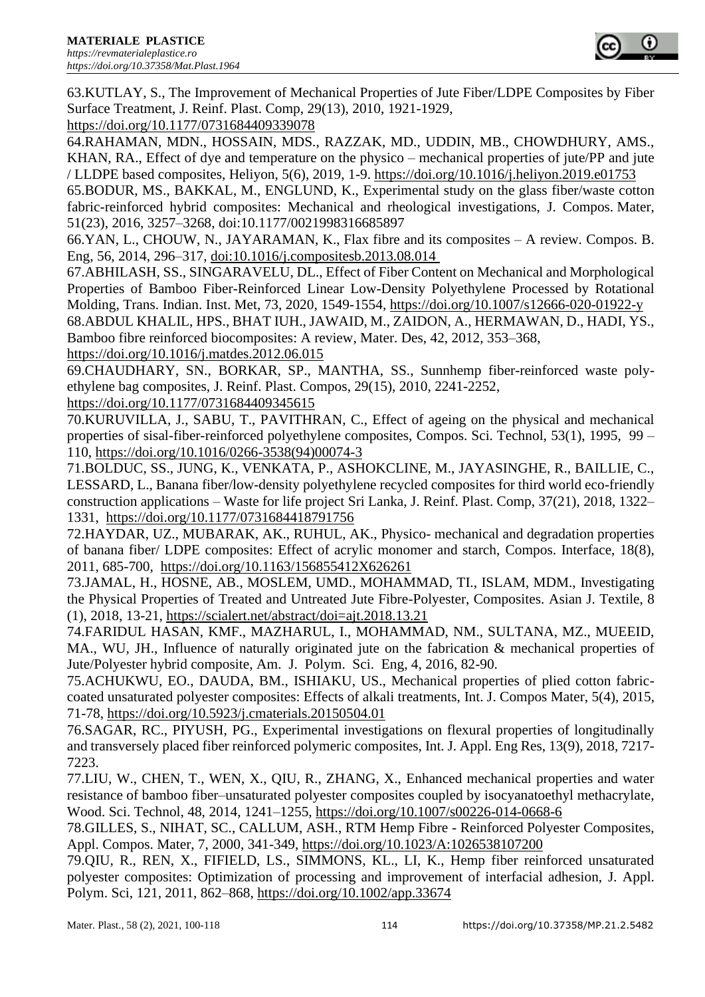

63.KUTLAY, S., The Improvement of Mechanical Properties of Jute Fiber/LDPE Composites by Fiber Surface Treatment, J. Reinf. Plast. Comp, 29(13), 2010, 1921-1929,

<https://doi.org/10.1177/0731684409339078>

64.RAHAMAN, MDN., HOSSAIN, MDS., RAZZAK, MD., UDDIN, MB., CHOWDHURY, AMS., KHAN, RA., Effect of dye and temperature on the physico – mechanical properties of jute/PP and jute / LLDPE based composites, Heliyon, 5(6), 2019, 1-9.<https://doi.org/10.1016/j.heliyon.2019.e01753>

65.BODUR, MS., BAKKAL, M., ENGLUND, K., Experimental study on the glass fiber/waste cotton fabric-reinforced hybrid composites: Mechanical and rheological investigations, J. Compos. Mater, 51(23), 2016, 3257–3268, doi:10.1177/0021998316685897

66.YAN, L., CHOUW, N., JAYARAMAN, K., Flax fibre and its composites – A review. Compos. B. Eng, 56, 2014, 296–317, doi:10.1016/j.compositesb.2013.08.014

67.ABHILASH, SS., SINGARAVELU, DL., Effect of Fiber Content on Mechanical and Morphological Properties of Bamboo Fiber-Reinforced Linear Low-Density Polyethylene Processed by Rotational Molding, Trans. Indian. Inst. Met, 73, 2020, 1549-1554, https://doi.org/10.1007/s12666-020-01922-y

68.ABDUL KHALIL, HPS., BHAT IUH., JAWAID, M., ZAIDON, A., HERMAWAN, D., HADI, YS., Bamboo fibre reinforced biocomposites: A review, Mater. Des, 42, 2012, 353–368,

<https://doi.org/10.1016/j.matdes.2012.06.015>

69.CHAUDHARY, SN., BORKAR, SP., MANTHA, SS., Sunnhemp fiber-reinforced waste polyethylene bag composites, J. Reinf. Plast. Compos, 29(15), 2010, 2241-2252,

<https://doi.org/10.1177/0731684409345615>

70.KURUVILLA, J., SABU, T., PAVITHRAN, C., Effect of ageing on the physical and mechanical properties of sisal-fiber-reinforced polyethylene composites, Compos. Sci. Technol, 53(1), 1995, 99 – 110, [https://doi.org/10.1016/0266-3538\(94\)00074-3](https://doi.org/10.1016/0266-3538(94)00074-3)

71.BOLDUC, SS., JUNG, K., VENKATA, P., ASHOKCLINE, M., JAYASINGHE, R., BAILLIE, C., LESSARD, L., Banana fiber/low-density polyethylene recycled composites for third world eco-friendly construction applications – Waste for life project Sri Lanka, J. Reinf. Plast. Comp, 37(21), 2018, 1322– 1331, [https://doi.org/10.1177/0731684418791756](https://doi.org/10.1177%2F0731684418791756)

72.HAYDAR, UZ., MUBARAK, AK., RUHUL, AK., Physico- mechanical and degradation properties of banana fiber/ LDPE composites: Effect of acrylic monomer and starch, Compos. Interface, 18(8), 2011, 685-700, <https://doi.org/10.1163/156855412X626261>

73.JAMAL, H., HOSNE, AB., MOSLEM, UMD., MOHAMMAD, TI., ISLAM, MDM., Investigating the Physical Properties of Treated and Untreated Jute Fibre-Polyester, Composites. Asian J. Textile, 8 (1), 2018, 13-21, https://scialert.net/abstract/doi=ajt.2018.13.21

74.FARIDUL HASAN, KMF., MAZHARUL, I., MOHAMMAD, NM., SULTANA, MZ., MUEEID, MA., WU, JH., Influence of naturally originated jute on the fabrication & mechanical properties of Jute/Polyester hybrid composite, Am. J. Polym. Sci. Eng, 4, 2016, 82-90.

75.ACHUKWU, EO., DAUDA, BM., ISHIAKU, US., Mechanical properties of plied cotton fabriccoated unsaturated polyester composites: Effects of alkali treatments, Int. J. Compos Mater, 5(4), 2015, 71-78, <https://doi.org/10.5923/j.cmaterials.20150504.01>

76.SAGAR, RC., PIYUSH, PG., Experimental investigations on flexural properties of longitudinally and transversely placed fiber reinforced polymeric composites, Int. J. Appl. Eng Res, 13(9), 2018, 7217- 7223.

77.LIU, W., CHEN, T., WEN, X., QIU, R., ZHANG, X., Enhanced mechanical properties and water resistance of bamboo fiber–unsaturated polyester composites coupled by isocyanatoethyl methacrylate, Wood. Sci. Technol, 48, 2014, 1241–1255,<https://doi.org/10.1007/s00226-014-0668-6>

78.GILLES, S., NIHAT, SC., CALLUM, ASH., RTM Hemp Fibre - Reinforced Polyester Composites, Appl. Compos. Mater, 7, 2000, 341-349,<https://doi.org/10.1023/A:1026538107200>

79.QIU, R., REN, X., FIFIELD, LS., SIMMONS, KL., LI, K., Hemp fiber reinforced unsaturated polyester composites: Optimization of processing and improvement of interfacial adhesion, J. Appl. Polym. Sci, 121, 2011, 862–868,<https://doi.org/10.1002/app.33674>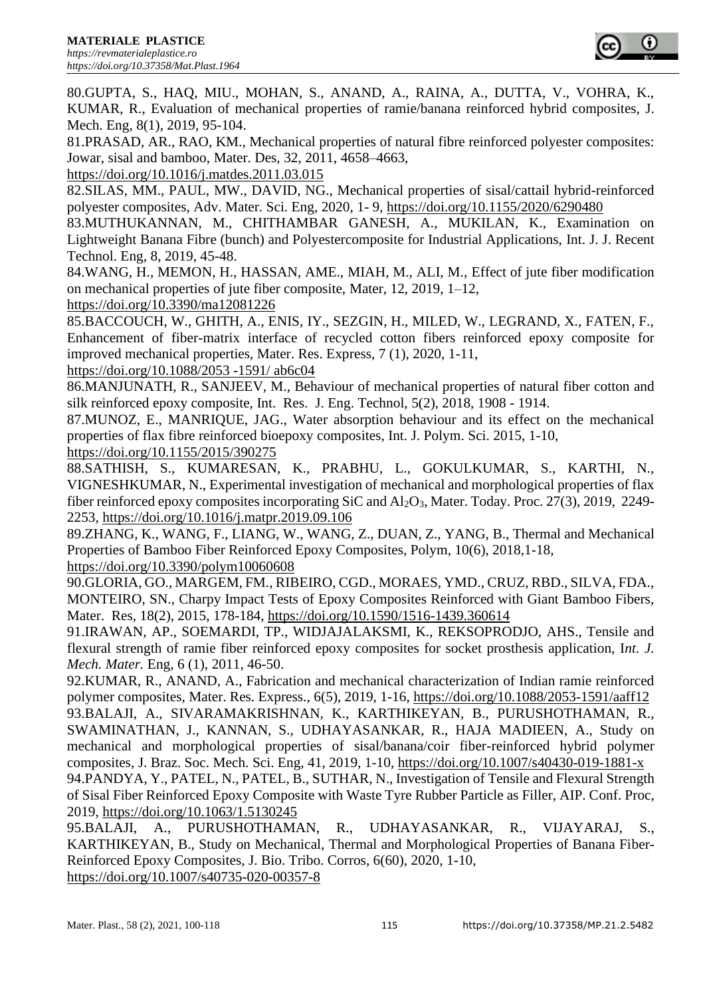80.GUPTA, S., HAQ, MIU., MOHAN, S., ANAND, A., RAINA, A., DUTTA, V., VOHRA, K., KUMAR, R., Evaluation of mechanical properties of ramie/banana reinforced hybrid composites, J. Mech. Eng, 8(1), 2019, 95-104.

81.PRASAD, AR., RAO, KM., Mechanical properties of natural fibre reinforced polyester composites: Jowar, sisal and bamboo, Mater. Des, 32, 2011, 4658–4663,

<https://doi.org/10.1016/j.matdes.2011.03.015>

82.SILAS, MM., PAUL, MW., DAVID, NG., Mechanical properties of sisal/cattail hybrid-reinforced polyester composites, Adv. Mater. Sci. Eng, 2020, 1- 9,<https://doi.org/10.1155/2020/6290480>

83.MUTHUKANNAN, M., CHITHAMBAR GANESH, A., MUKILAN, K., Examination on Lightweight Banana Fibre (bunch) and Polyestercomposite for Industrial Applications, Int. J. J. Recent Technol. Eng, 8, 2019, 45-48.

84.WANG, H., MEMON, H., HASSAN, AME., MIAH, M., ALI, M., Effect of jute fiber modification on mechanical properties of jute fiber composite, Mater, 12, 2019, 1–12,

https://doi.org[/10.3390/ma12081226](https://doi.org/10.3390/ma12081226)

85.BACCOUCH, W., GHITH, A., ENIS, IY., SEZGIN, H., MILED, W., LEGRAND, X., FATEN, F., Enhancement of fiber-matrix interface of recycled cotton fibers reinforced epoxy composite for improved mechanical properties, Mater. Res. Express, 7 (1), 2020, 1-11,

https://doi.org[/10.1088/2053 -1591/ ab6c](https://doi.org/10.3390/ma12081226)04

86.MANJUNATH, R., SANJEEV, M., Behaviour of mechanical properties of natural fiber cotton and silk reinforced epoxy composite, Int. Res. J. Eng. Technol, 5(2), 2018, 1908 - 1914.

87.MUNOZ, E., MANRIQUE, JAG., Water absorption behaviour and its effect on the mechanical properties of flax fibre reinforced bioepoxy composites, Int. J. Polym. Sci. 2015, 1-10, <https://doi.org/10.1155/2015/390275>

88.SATHISH, S., KUMARESAN, K., PRABHU, L., GOKULKUMAR, S., KARTHI, N., VIGNESHKUMAR, N., Experimental investigation of mechanical and morphological properties of flax fiber reinforced epoxy composites incorporating SiC and  $A_1A_2O_3$ , Mater. Today. Proc. 27(3), 2019, 2249-2253,<https://doi.org/10.1016/j.matpr.2019.09.106>

89.ZHANG, K., WANG, F., LIANG, W., WANG, Z., DUAN, Z., YANG, B., Thermal and Mechanical Properties of Bamboo Fiber Reinforced Epoxy Composites, Polym, 10(6), 2018,1-18,

<https://doi.org/10.3390/polym10060608>

90.GLORIA, GO., MARGEM, FM., RIBEIRO, CGD., MORAES, YMD., CRUZ, RBD., SILVA, FDA., MONTEIRO, SN., Charpy Impact Tests of Epoxy Composites Reinforced with Giant Bamboo Fibers, Mater. Res, 18(2), 2015, 178-184,<https://doi.org/10.1590/1516-1439.360614>

91.IRAWAN, AP., SOEMARDI, TP., WIDJAJALAKSMI, K., REKSOPRODJO, AHS., Tensile and flexural strength of ramie fiber reinforced epoxy composites for socket prosthesis application, I*nt. J. Mech. Mater.* Eng, 6 (1), 2011, 46-50.

92.KUMAR, R., ANAND, A., Fabrication and mechanical characterization of Indian ramie reinforced polymer composites, Mater. Res. Express., 6(5), 2019, 1-16, https://doi.org/10.1088/2053-1591/aaff12 93.BALAJI, A., SIVARAMAKRISHNAN, K., KARTHIKEYAN, B., PURUSHOTHAMAN, R., SWAMINATHAN, J., KANNAN, S., UDHAYASANKAR, R., HAJA MADIEEN, A., Study on mechanical and morphological properties of sisal/banana/coir fiber-reinforced hybrid polymer composites, J. Braz. Soc. Mech. Sci. Eng, 41, 2019, 1-10, https://doi.org/10.1007/s40430-019-1881-x 94.PANDYA, Y., PATEL, N., PATEL, B., SUTHAR, N., Investigation of Tensile and Flexural Strength of Sisal Fiber Reinforced Epoxy Composite with Waste Tyre Rubber Particle as Filler, AIP. Conf. Proc, 2019,<https://doi.org/10.1063/1.5130245>

95.BALAJI, A., PURUSHOTHAMAN, R., UDHAYASANKAR, R., VIJAYARAJ, S., KARTHIKEYAN, B., Study on Mechanical, Thermal and Morphological Properties of Banana Fiber-Reinforced Epoxy Composites, J. Bio. Tribo. Corros, 6(60), 2020, 1-10, https://doi.org/10.1007/s40735-020-00357-8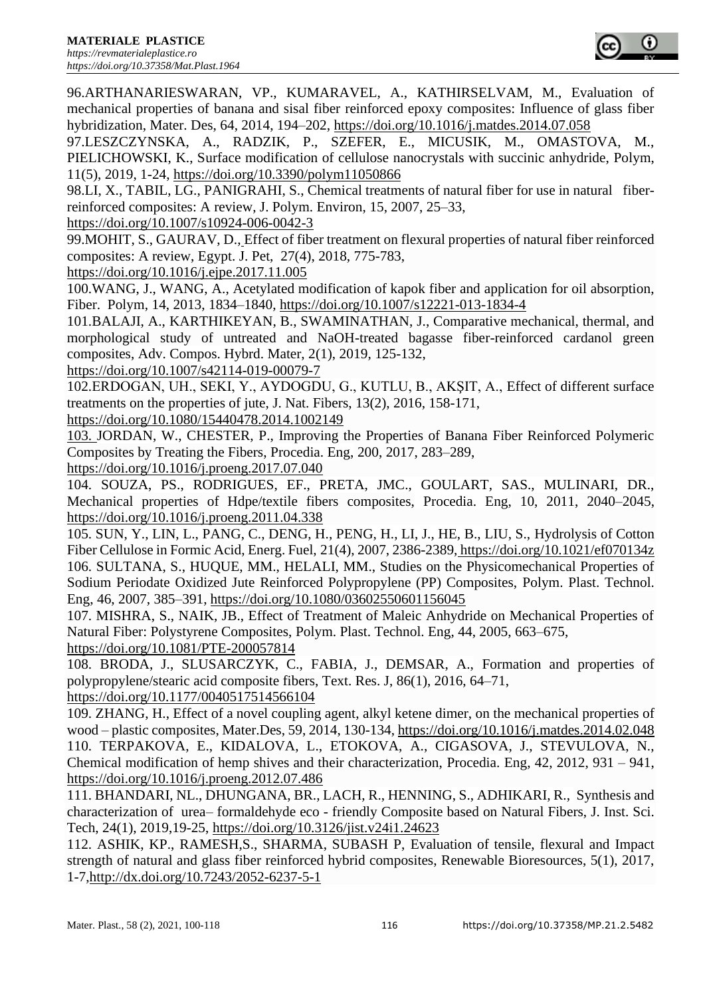96.ARTHANARIESWARAN, VP., KUMARAVEL, A., KATHIRSELVAM, M., Evaluation of mechanical properties of banana and sisal fiber reinforced epoxy composites: Influence of glass fiber hybridization, Mater. Des, 64, 2014, 194–202,<https://doi.org/10.1016/j.matdes.2014.07.058>

97.LESZCZYNSKA, A., RADZIK, P., SZEFER, E., MICUSIK, M., OMASTOVA, M., PIELICHOWSKI, K., Surface modification of cellulose nanocrystals with succinic anhydride, Polym, 11(5), 2019, 1-24,<https://doi.org/10.3390/polym11050866>

98.LI, X., TABIL, LG., PANIGRAHI, S., Chemical treatments of natural fiber for use in natural fiberreinforced composites: A review, J. Polym. Environ, 15, 2007, 25–33,

<https://doi.org/10.1007/s10924-006-0042-3>

99.MOHIT, S., GAURAV, D., Effect of fiber treatment on flexural properties of natural fiber reinforced composites: A review, Egypt. J. Pet, [27\(4\)](https://www.sciencedirect.com/science/journal/11100621/27/4), 2018, 775-783,

<https://doi.org/10.1016/j.ejpe.2017.11.005>

100.WANG, J., WANG, A., Acetylated modification of kapok fiber and application for oil absorption, Fiber. Polym, 14, 2013, 1834–1840, <https://doi.org/10.1007/s12221-013-1834-4>

101.BALAJI, A., KARTHIKEYAN, B., SWAMINATHAN, J., Comparative mechanical, thermal, and morphological study of untreated and NaOH-treated bagasse fiber-reinforced cardanol green composites, Adv. Compos. Hybrd. Mater, 2(1), 2019, 125-132,

<https://doi.org/10.1007/s42114-019-00079-7>

102.ERDOGAN, UH., SEKI, Y., AYDOGDU, G., KUTLU, B., AKŞIT, A., Effect of different surface treatments on the properties of jute, J. Nat. Fibers, 13(2), 2016, 158-171,

<https://doi.org/10.1080/15440478.2014.1002149>

103. JORDAN, W., CHESTER, P., Improving the Properties of Banana Fiber Reinforced Polymeric Composites by Treating the Fibers, Procedia. Eng, 200, 2017, 283–289,

<https://doi.org/10.1016/j.proeng.2017.07.040>

104. SOUZA, PS., RODRIGUES, EF., PRETA, JMC., GOULART, SAS., MULINARI, DR., Mechanical properties of Hdpe/textile fibers composites, Procedia. Eng, 10, 2011, 2040–2045, <https://doi.org/10.1016/j.proeng.2011.04.338>

105. SUN, Y., LIN, L., PANG, C., DENG, H., PENG, H., LI, J., HE, B., LIU, S., Hydrolysis of Cotton Fiber Cellulose in Formic Acid, Energ. Fuel, 21(4), 2007, 2386-2389, <https://doi.org/10.1021/ef070134z> 106. SULTANA, S., HUQUE, MM., HELALI, MM., Studies on the Physicomechanical Properties of Sodium Periodate Oxidized Jute Reinforced Polypropylene (PP) Composites, Polym. Plast. Technol. Eng, 46, 2007, 385–391, <https://doi.org/10.1080/03602550601156045>

107. MISHRA, S., NAIK, JB., Effect of Treatment of Maleic Anhydride on Mechanical Properties of Natural Fiber: Polystyrene Composites, Polym. Plast. Technol. Eng, 44, 2005, 663–675, <https://doi.org/10.1081/PTE-200057814>

108. BRODA, J., SLUSARCZYK, C., FABIA, J., DEMSAR, A., Formation and properties of polypropylene/stearic acid composite fibers, Text. Res. J, 86(1), 2016, 64–71, <https://doi.org/10.1177/0040517514566104>

109. ZHANG, H., Effect of a novel coupling agent, alkyl ketene dimer, on the mechanical properties of wood – plastic composites, [Mater.Des,](Mater.Des) 59, 2014, 130-134,<https://doi.org/10.1016/j.matdes.2014.02.048> 110. TERPAKOVA, E., KIDALOVA, L., ETOKOVA, A., CIGASOVA, J., STEVULOVA, N., Chemical modification of hemp shives and their characterization, Procedia. Eng, 42, 2012, 931 – 941, <https://doi.org/10.1016/j.proeng.2012.07.486>

111. BHANDARI, NL., DHUNGANA, BR., LACH, R., HENNING, S., ADHIKARI, R., Synthesis and characterization of urea– formaldehyde eco - friendly Composite based on Natural Fibers, J. Inst. Sci. Tech, 24(1), 2019,19-25,<https://doi.org/10.3126/jist.v24i1.24623>

112. ASHIK, KP., RAMESH,S., SHARMA, SUBASH P, Evaluation of tensile, flexural and Impact strength of natural and glass fiber reinforced hybrid composites, Renewable Bioresources, 5(1), 2017, 1-7[,http://dx.doi.org/10.7243/2052-6237-5-1](http://dx.doi.org/10.7243/2052-6237-5-1)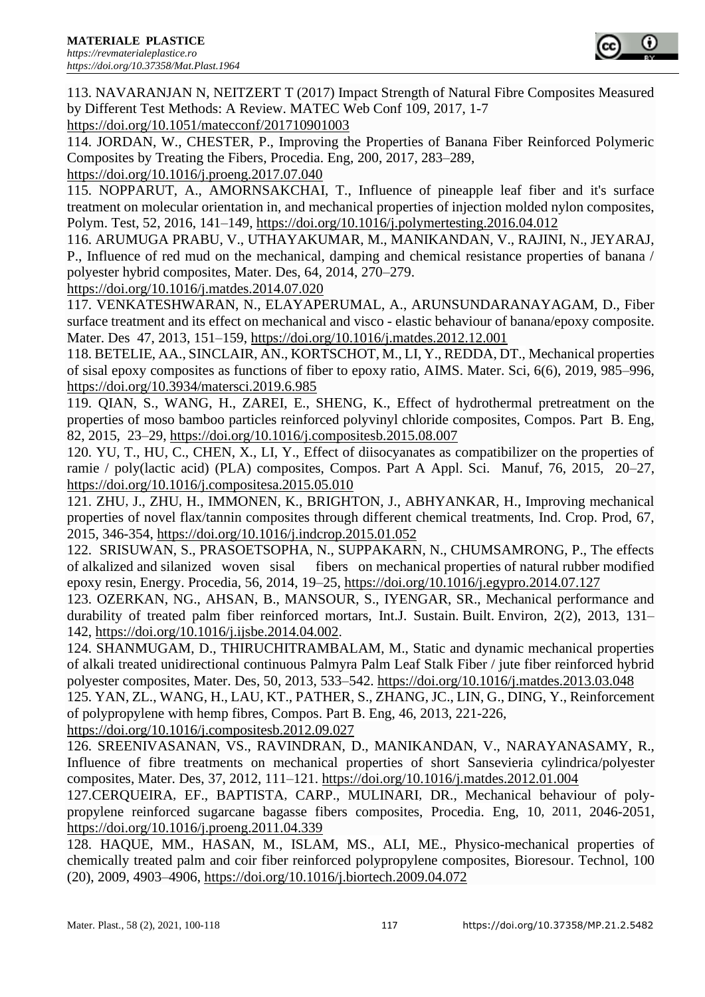

113. NAVARANJAN N, NEITZERT T (2017) Impact Strength of Natural Fibre Composites Measured by Different Test Methods: A Review. MATEC Web Conf 109, 2017, 1-7

<https://doi.org/10.1051/matecconf/201710901003>

114. JORDAN, W., CHESTER, P., Improving the Properties of Banana Fiber Reinforced Polymeric Composites by Treating the Fibers, Procedia. Eng, 200, 2017, 283–289,

<https://doi.org/10.1016/j.proeng.2017.07.040>

115. NOPPARUT, A., AMORNSAKCHAI, T., Influence of pineapple leaf fiber and it's surface treatment on molecular orientation in, and mechanical properties of injection molded nylon composites, Polym. Test, 52, 2016, 141–149,<https://doi.org/10.1016/j.polymertesting.2016.04.012>

116. ARUMUGA PRABU, V., UTHAYAKUMAR, M., MANIKANDAN, V., RAJINI, N., JEYARAJ, P., Influence of red mud on the mechanical, damping and chemical resistance properties of banana / polyester hybrid composites, Mater. Des, 64, 2014, 270–279.

<https://doi.org/10.1016/j.matdes.2014.07.020>

117. VENKATESHWARAN, N., ELAYAPERUMAL, A., ARUNSUNDARANAYAGAM, D., Fiber surface treatment and its effect on mechanical and visco - elastic behaviour of banana/epoxy composite. Mater. Des 47, 2013, 151–159,<https://doi.org/10.1016/j.matdes.2012.12.001>

118. BETELIE, AA., SINCLAIR, AN., KORTSCHOT, M., LI, Y., REDDA, DT., Mechanical properties of sisal epoxy composites as functions of fiber to epoxy ratio, AIMS. Mater. Sci, 6(6), 2019, 985–996, https://doi.org[/10.3934/matersci.2019.6.985](https://doi.org/10.3934/matersci.2019.6.985)

119. QIAN, S., WANG, H., ZAREI, E., SHENG, K., Effect of hydrothermal pretreatment on the properties of moso bamboo particles reinforced polyvinyl chloride composites, Compos. Part B. Eng, 82, 2015, 23–29,<https://doi.org/10.1016/j.compositesb.2015.08.007>

120. YU, T., HU, C., CHEN, X., LI, Y., Effect of diisocyanates as compatibilizer on the properties of ramie / poly(lactic acid) (PLA) composites, Compos. Part A Appl. Sci. Manuf, 76, 2015, 20–27, <https://doi.org/10.1016/j.compositesa.2015.05.010>

121. [ZHU](https://www.sciencedirect.com/science/article/abs/pii/S0926669015000540#!), J., [ZHU](https://www.sciencedirect.com/science/article/abs/pii/S0926669015000540#!), H., [IMMONEN, K., BRIGHTON, J., ABHYANKAR,](https://www.sciencedirect.com/science/article/abs/pii/S0926669015000540#!) H., Improving mechanical properties of novel flax/tannin composites through different chemical treatments, Ind. Crop. Prod, 67, 2015, 346-354,<https://doi.org/10.1016/j.indcrop.2015.01.052>

122. SRISUWAN, S., PRASOETSOPHA, N., SUPPAKARN, N., CHUMSAMRONG, P., The effects of alkalized and silanized woven sisal fibers on mechanical properties of natural rubber modified epoxy resin, Energy. Procedia, 56, 2014, 19–25,<https://doi.org/10.1016/j.egypro.2014.07.127>

123. OZERKAN, NG., AHSAN, B., MANSOUR, S., IYENGAR, SR., Mechanical performance and durability of treated palm fiber reinforced mortars, Int.J. Sustain. Built. Environ, 2(2), 2013, 131– 142, <https://doi.org/10.1016/j.ijsbe.2014.04.002>.

124. SHANMUGAM, D., THIRUCHITRAMBALAM, M., Static and dynamic mechanical properties of alkali treated unidirectional continuous Palmyra Palm Leaf Stalk Fiber / jute fiber reinforced hybrid polyester composites, Mater. Des, 50, 2013, 533–542.<https://doi.org/10.1016/j.matdes.2013.03.048>

125. YAN, ZL., WANG, H., LAU, KT., PATHER, S., ZHANG, JC., LIN, G., DING, Y., Reinforcement of polypropylene with hemp fibres, Compos. Part B. Eng, 46, 2013, 221-226,

<https://doi.org/10.1016/j.compositesb.2012.09.027>

126. SREENIVASANAN, VS., RAVINDRAN, D., MANIKANDAN, V., NARAYANASAMY, R., Influence of fibre treatments on mechanical properties of short Sansevieria cylindrica/polyester composites, Mater. Des, 37, 2012, 111–121.<https://doi.org/10.1016/j.matdes.2012.01.004>

127[.CERQUEIRA](https://www.sciencedirect.com/science/article/pii/S1877705811005273#!), EF., [BAPTISTA](https://www.sciencedirect.com/science/article/pii/S1877705811005273#!), CARP., [MULINARI](https://www.sciencedirect.com/science/article/pii/S1877705811005273#!), DR., Mechanical behaviour of polypropylene reinforced sugarcane bagasse fibers composites, Procedia. Eng, [10](https://www.sciencedirect.com/science/journal/18777058/10/supp/C), 2011, 2046-2051, <https://doi.org/10.1016/j.proeng.2011.04.339>

128. HAQUE, MM., HASAN, M., ISLAM, MS., ALI, ME., Physico-mechanical properties of chemically treated palm and coir fiber reinforced polypropylene composites, Bioresour. Technol, 100 (20), 2009, 4903–4906,<https://doi.org/10.1016/j.biortech.2009.04.072>